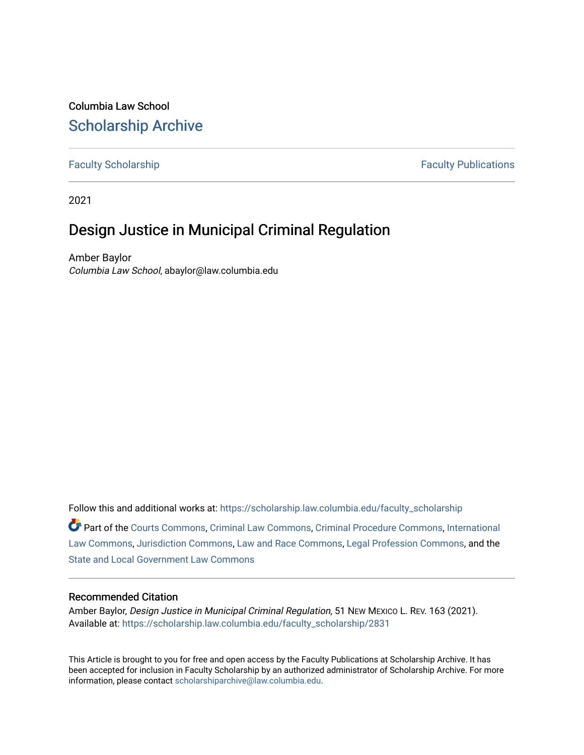# Columbia Law School [Scholarship Archive](https://scholarship.law.columbia.edu/)

[Faculty Scholarship](https://scholarship.law.columbia.edu/faculty_scholarship) **Faculty Scholarship Faculty Publications** 

2021

# Design Justice in Municipal Criminal Regulation

Amber Baylor Columbia Law School, abaylor@law.columbia.edu

Follow this and additional works at: [https://scholarship.law.columbia.edu/faculty\\_scholarship](https://scholarship.law.columbia.edu/faculty_scholarship?utm_source=scholarship.law.columbia.edu%2Ffaculty_scholarship%2F2831&utm_medium=PDF&utm_campaign=PDFCoverPages)

Part of the [Courts Commons,](http://network.bepress.com/hgg/discipline/839?utm_source=scholarship.law.columbia.edu%2Ffaculty_scholarship%2F2831&utm_medium=PDF&utm_campaign=PDFCoverPages) [Criminal Law Commons](http://network.bepress.com/hgg/discipline/912?utm_source=scholarship.law.columbia.edu%2Ffaculty_scholarship%2F2831&utm_medium=PDF&utm_campaign=PDFCoverPages), [Criminal Procedure Commons](http://network.bepress.com/hgg/discipline/1073?utm_source=scholarship.law.columbia.edu%2Ffaculty_scholarship%2F2831&utm_medium=PDF&utm_campaign=PDFCoverPages), [International](http://network.bepress.com/hgg/discipline/609?utm_source=scholarship.law.columbia.edu%2Ffaculty_scholarship%2F2831&utm_medium=PDF&utm_campaign=PDFCoverPages)  [Law Commons,](http://network.bepress.com/hgg/discipline/609?utm_source=scholarship.law.columbia.edu%2Ffaculty_scholarship%2F2831&utm_medium=PDF&utm_campaign=PDFCoverPages) [Jurisdiction Commons](http://network.bepress.com/hgg/discipline/850?utm_source=scholarship.law.columbia.edu%2Ffaculty_scholarship%2F2831&utm_medium=PDF&utm_campaign=PDFCoverPages), [Law and Race Commons](http://network.bepress.com/hgg/discipline/1300?utm_source=scholarship.law.columbia.edu%2Ffaculty_scholarship%2F2831&utm_medium=PDF&utm_campaign=PDFCoverPages), [Legal Profession Commons,](http://network.bepress.com/hgg/discipline/1075?utm_source=scholarship.law.columbia.edu%2Ffaculty_scholarship%2F2831&utm_medium=PDF&utm_campaign=PDFCoverPages) and the [State and Local Government Law Commons](http://network.bepress.com/hgg/discipline/879?utm_source=scholarship.law.columbia.edu%2Ffaculty_scholarship%2F2831&utm_medium=PDF&utm_campaign=PDFCoverPages) 

### Recommended Citation

Amber Baylor, Design Justice in Municipal Criminal Regulation, 51 New Mexico L. Rev. 163 (2021). Available at: [https://scholarship.law.columbia.edu/faculty\\_scholarship/2831](https://scholarship.law.columbia.edu/faculty_scholarship/2831?utm_source=scholarship.law.columbia.edu%2Ffaculty_scholarship%2F2831&utm_medium=PDF&utm_campaign=PDFCoverPages)

This Article is brought to you for free and open access by the Faculty Publications at Scholarship Archive. It has been accepted for inclusion in Faculty Scholarship by an authorized administrator of Scholarship Archive. For more information, please contact [scholarshiparchive@law.columbia.edu.](mailto:scholarshiparchive@law.columbia.edu)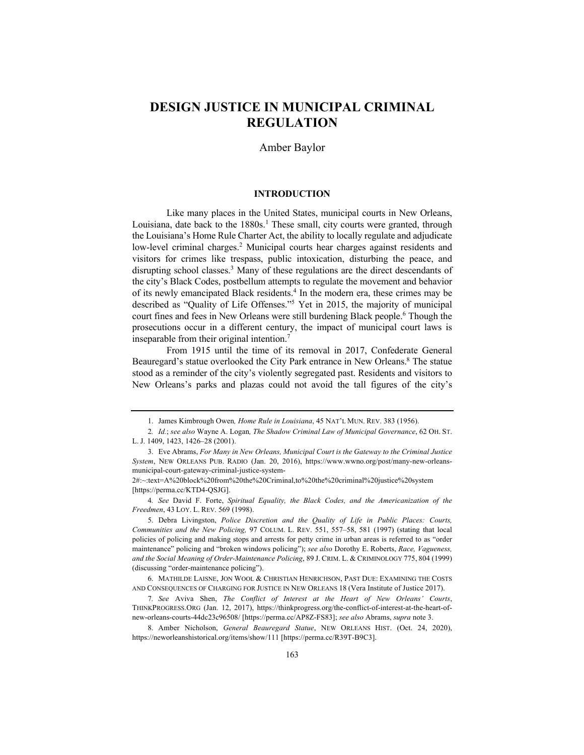## **DESIGN JUSTICE IN MUNICIPAL CRIMINAL REGULATION**

#### Amber Baylor

#### **INTRODUCTION**

Like many places in the United States, municipal courts in New Orleans, Louisiana, date back to the  $1880s<sup>1</sup>$ . These small, city courts were granted, through the Louisiana's Home Rule Charter Act, the ability to locally regulate and adjudicate low-level criminal charges.<sup>2</sup> Municipal courts hear charges against residents and visitors for crimes like trespass, public intoxication, disturbing the peace, and disrupting school classes.<sup>3</sup> Many of these regulations are the direct descendants of the city's Black Codes, postbellum attempts to regulate the movement and behavior of its newly emancipated Black residents.<sup>4</sup> In the modern era, these crimes may be described as "Quality of Life Offenses."5 Yet in 2015, the majority of municipal court fines and fees in New Orleans were still burdening Black people.<sup>6</sup> Though the prosecutions occur in a different century, the impact of municipal court laws is inseparable from their original intention.7

From 1915 until the time of its removal in 2017, Confederate General Beauregard's statue overlooked the City Park entrance in New Orleans.<sup>8</sup> The statue stood as a reminder of the city's violently segregated past. Residents and visitors to New Orleans's parks and plazas could not avoid the tall figures of the city's

4*. See* David F. Forte, *Spiritual Equality, the Black Codes, and the Americanization of the Freedmen*, 43 LOY. L. REV. 569 (1998).

5. Debra Livingston, *Police Discretion and the Quality of Life in Public Places: Courts, Communities and the New Policing,* 97 COLUM. L. REV. 551, 557–58, 581 (1997) (stating that local policies of policing and making stops and arrests for petty crime in urban areas is referred to as "order maintenance" policing and "broken windows policing"); *see also* Dorothy E. Roberts, *Race, Vagueness, and the Social Meaning of Order-Maintenance Policing*, 89 J. CRIM. L. & CRIMINOLOGY 775, 804 (1999) (discussing "order-maintenance policing").

6. MATHILDE LAISNE, JON WOOL & CHRISTIAN HENRICHSON, PAST DUE: EXAMINING THE COSTS AND CONSEQUENCES OF CHARGING FOR JUSTICE IN NEW ORLEANS 18 (Vera Institute of Justice 2017).

7*. See* Aviva Shen, *The Conflict of Interest at the Heart of New Orleans' Courts*, THINKPROGRESS.ORG (Jan. 12, 2017), https://thinkprogress.org/the-conflict-of-interest-at-the-heart-ofnew-orleans-courts-44dc23c96508/ [https://perma.cc/AP8Z-FS83]; *see also* Abrams, *supra* note 3.

8. Amber Nicholson, *General Beauregard Statue*, NEW ORLEANS HIST. (Oct. 24, 2020), https://neworleanshistorical.org/items/show/111 [https://perma.cc/R39T-B9C3].

<sup>1.</sup> James Kimbrough Owen*, Home Rule in Louisiana*, 45 NAT'L MUN. REV. 383 (1956).

<sup>2</sup>*. Id.*; *see also* Wayne A. Logan*, The Shadow Criminal Law of Municipal Governance*, 62 OH. ST. L. J. 1409, 1423, 1426–28 (2001).

<sup>3.</sup> Eve Abrams, *For Many in New Orleans, Municipal Court is the Gateway to the Criminal Justice System*, NEW ORLEANS PUB. RADIO (Jan. 20, 2016), https://www.wwno.org/post/many-new-orleansmunicipal-court-gateway-criminal-justice-system-

<sup>2#:~:</sup>text=A%20block%20from%20the%20Criminal,to%20the%20criminal%20justice%20system [https://perma.cc/KTD4-QSJG].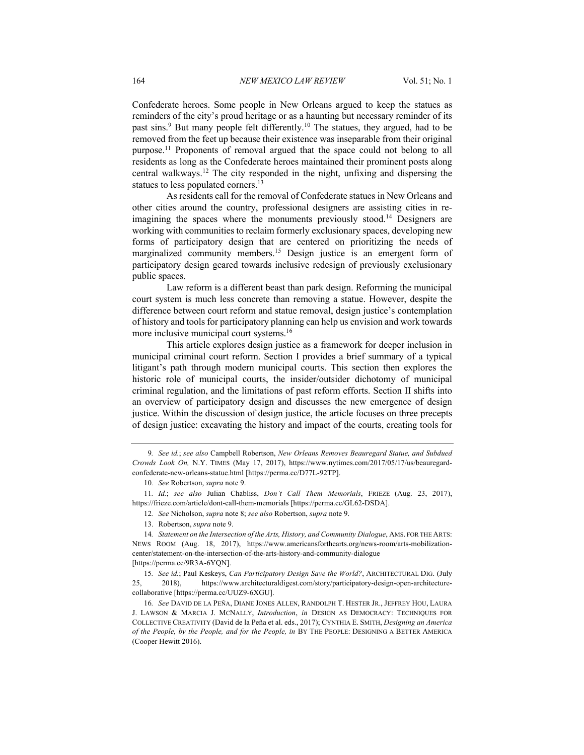Confederate heroes. Some people in New Orleans argued to keep the statues as reminders of the city's proud heritage or as a haunting but necessary reminder of its past sins.<sup>9</sup> But many people felt differently.<sup>10</sup> The statues, they argued, had to be removed from the feet up because their existence was inseparable from their original purpose.11 Proponents of removal argued that the space could not belong to all residents as long as the Confederate heroes maintained their prominent posts along central walkways.12 The city responded in the night, unfixing and dispersing the statues to less populated corners.<sup>13</sup>

As residents call for the removal of Confederate statues in New Orleans and other cities around the country, professional designers are assisting cities in reimagining the spaces where the monuments previously stood.<sup>14</sup> Designers are working with communities to reclaim formerly exclusionary spaces, developing new forms of participatory design that are centered on prioritizing the needs of marginalized community members.15 Design justice is an emergent form of participatory design geared towards inclusive redesign of previously exclusionary public spaces.

Law reform is a different beast than park design. Reforming the municipal court system is much less concrete than removing a statue. However, despite the difference between court reform and statue removal, design justice's contemplation of history and tools for participatory planning can help us envision and work towards more inclusive municipal court systems.<sup>16</sup>

This article explores design justice as a framework for deeper inclusion in municipal criminal court reform. Section I provides a brief summary of a typical litigant's path through modern municipal courts. This section then explores the historic role of municipal courts, the insider/outsider dichotomy of municipal criminal regulation, and the limitations of past reform efforts. Section II shifts into an overview of participatory design and discusses the new emergence of design justice. Within the discussion of design justice, the article focuses on three precepts of design justice: excavating the history and impact of the courts, creating tools for

<sup>9</sup>*. See id.*; *see also* Campbell Robertson, *New Orleans Removes Beauregard Statue, and Subdued Crowds Look On,* N.Y. TIMES (May 17, 2017), https://www.nytimes.com/2017/05/17/us/beauregardconfederate-new-orleans-statue.html [https://perma.cc/D77L-92TP].

<sup>10</sup>*. See* Robertson, *supra* note 9.

<sup>11</sup>*. Id.*; *see also* Julian Chabliss, *Don't Call Them Memorials*, FRIEZE (Aug. 23, 2017), https://frieze.com/article/dont-call-them-memorials [https://perma.cc/GL62-DSDA].

<sup>12</sup>*. See* Nicholson, *supra* note 8; *see also* Robertson, *supra* note 9.

<sup>13.</sup> Robertson, *supra* note 9.

<sup>14</sup>*. Statement on the Intersection of the Arts, History, and Community Dialogue*, AMS. FOR THE ARTS: NEWS ROOM (Aug. 18, 2017), https://www.americansforthearts.org/news-room/arts-mobilizationcenter/statement-on-the-intersection-of-the-arts-history-and-community-dialogue [https://perma.cc/9R3A-6YQN].

<sup>15</sup>*. See id.*; Paul Keskeys, *Can Participatory Design Save the World?*, ARCHITECTURAL DIG. (July 25, 2018), https://www.architecturaldigest.com/story/participatory-design-open-architecturecollaborative [https://perma.cc/UUZ9-6XGU].

<sup>16</sup>*. See* DAVID DE LA PEÑA, DIANE JONES ALLEN, RANDOLPH T. HESTER JR., JEFFREY HOU, LAURA J. LAWSON & MARCIA J. MCNALLY, *Introduction*, *in* DESIGN AS DEMOCRACY: TECHNIQUES FOR COLLECTIVE CREATIVITY (David de la Peña et al. eds., 2017); CYNTHIA E. SMITH, *Designing an America of the People, by the People, and for the People, in* BY THE PEOPLE: DESIGNING A BETTER AMERICA (Cooper Hewitt 2016).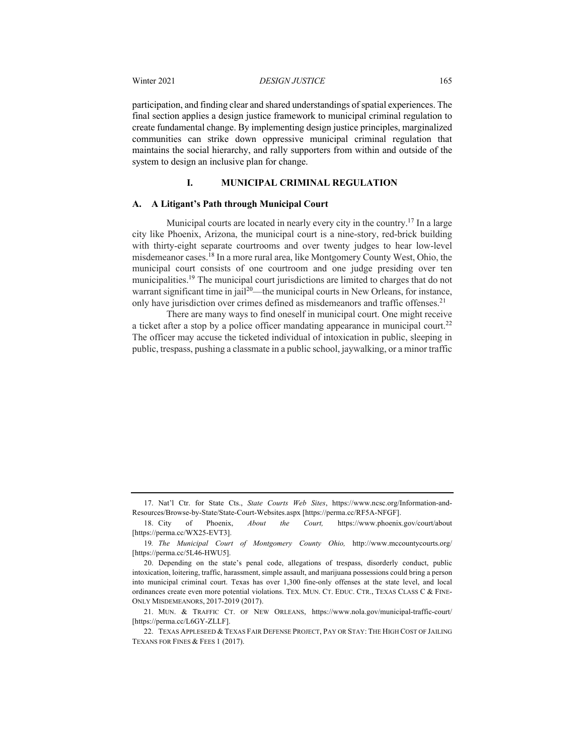participation, and finding clear and shared understandings of spatial experiences. The final section applies a design justice framework to municipal criminal regulation to create fundamental change. By implementing design justice principles, marginalized communities can strike down oppressive municipal criminal regulation that maintains the social hierarchy, and rally supporters from within and outside of the system to design an inclusive plan for change.

#### **I. MUNICIPAL CRIMINAL REGULATION**

#### **A. A Litigant's Path through Municipal Court**

Municipal courts are located in nearly every city in the country.<sup>17</sup> In a large city like Phoenix, Arizona, the municipal court is a nine-story, red-brick building with thirty-eight separate courtrooms and over twenty judges to hear low-level misdemeanor cases.18 In a more rural area, like Montgomery County West, Ohio, the municipal court consists of one courtroom and one judge presiding over ten municipalities.<sup>19</sup> The municipal court jurisdictions are limited to charges that do not warrant significant time in jail<sup>20</sup>—the municipal courts in New Orleans, for instance, only have jurisdiction over crimes defined as misdemeanors and traffic offenses.<sup>21</sup>

There are many ways to find oneself in municipal court. One might receive a ticket after a stop by a police officer mandating appearance in municipal court.<sup>22</sup> The officer may accuse the ticketed individual of intoxication in public, sleeping in public, trespass, pushing a classmate in a public school, jaywalking, or a minor traffic

<sup>17.</sup> Nat'l Ctr. for State Cts., *State Courts Web Sites*, https://www.ncsc.org/Information-and-Resources/Browse-by-State/State-Court-Websites.aspx [https://perma.cc/RF5A-NFGF].

<sup>18.</sup> City of Phoenix, *About the Court,* https://www.phoenix.gov/court/about [https://perma.cc/WX25-EVT3].

<sup>19</sup>*. The Municipal Court of Montgomery County Ohio,* http://www.mccountycourts.org/ [https://perma.cc/5L46-HWU5].

<sup>20.</sup> Depending on the state's penal code, allegations of trespass, disorderly conduct, public intoxication, loitering, traffic, harassment, simple assault, and marijuana possessions could bring a person into municipal criminal court. Texas has over 1,300 fine-only offenses at the state level, and local ordinances create even more potential violations. TEX. MUN. CT. EDUC. CTR., TEXAS CLASS C & FINE-ONLY MISDEMEANORS, 2017-2019 (2017).

<sup>21.</sup> MUN. & TRAFFIC CT. OF NEW ORLEANS, https://www.nola.gov/municipal-traffic-court/ [https://perma.cc/L6GY-ZLLF].

<sup>22.</sup> TEXAS APPLESEED & TEXAS FAIR DEFENSE PROJECT, PAY OR STAY: THE HIGH COST OF JAILING TEXANS FOR FINES & FEES 1 (2017).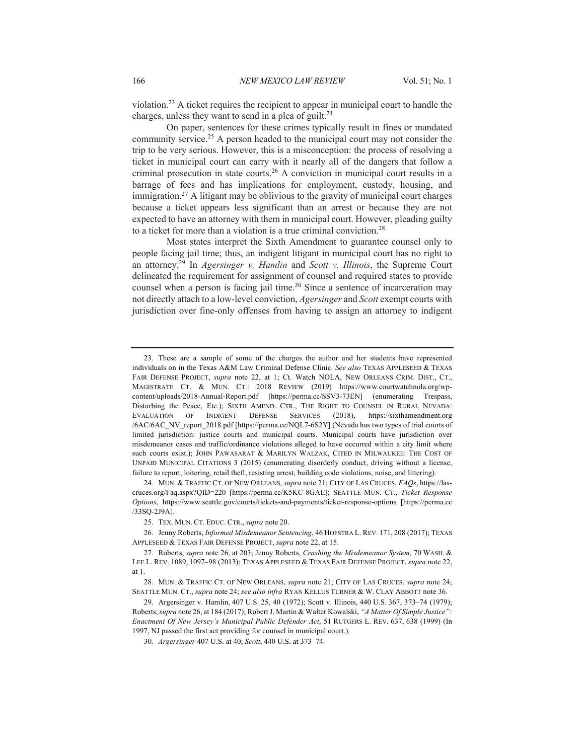violation.23 A ticket requires the recipient to appear in municipal court to handle the charges, unless they want to send in a plea of guilt.<sup>24</sup>

On paper, sentences for these crimes typically result in fines or mandated community service.25 A person headed to the municipal court may not consider the trip to be very serious. However, this is a misconception: the process of resolving a ticket in municipal court can carry with it nearly all of the dangers that follow a criminal prosecution in state courts.26 A conviction in municipal court results in a barrage of fees and has implications for employment, custody, housing, and immigration.27 A litigant may be oblivious to the gravity of municipal court charges because a ticket appears less significant than an arrest or because they are not expected to have an attorney with them in municipal court. However, pleading guilty to a ticket for more than a violation is a true criminal conviction.28

Most states interpret the Sixth Amendment to guarantee counsel only to people facing jail time; thus, an indigent litigant in municipal court has no right to an attorney.29 In *Agersinger v. Hamlin* and *Scott v. Illinois*, the Supreme Court delineated the requirement for assignment of counsel and required states to provide counsel when a person is facing jail time.<sup>30</sup> Since a sentence of incarceration may not directly attach to a low-level conviction, *Agersinger* and *Scott* exempt courts with jurisdiction over fine-only offenses from having to assign an attorney to indigent

24. MUN. & TRAFFIC CT. OF NEW ORLEANS, *supra* note 21; CITY OF LAS CRUCES, *FAQs*, https://lascruces.org/Faq.aspx?QID=220 [https://perma.cc/K5KC-8GAE]; SEATTLE MUN. CT., *Ticket Response Options*, https://www.seattle.gov/courts/tickets-and-payments/ticket-response-options [https://perma.cc /33SQ-2J9A].

<sup>23.</sup> These are a sample of some of the charges the author and her students have represented individuals on in the Texas A&M Law Criminal Defense Clinic. *See also* TEXAS APPLESEED & TEXAS FAIR DEFENSE PROJECT, *supra* note 22, at 1; Ct. Watch NOLA, NEW ORLEANS CRIM. DIST., CT., MAGISTRATE CT. & MUN. CT.: 2018 REVIEW (2019) https://www.courtwatchnola.org/wpcontent/uploads/2018-Annual-Report.pdf [https://perma.cc/SSV3-73EN] (enumerating Trespass, Disturbing the Peace, Etc.); SIXTH AMEND. CTR., THE RIGHT TO COUNSEL IN RURAL NEVADA: EVALUATION OF INDIGENT DEFENSE SERVICES (2018), https://sixthamendment.org /6AC/6AC\_NV\_report\_2018.pdf [https://perma.cc/NQL7-6S2Y] (Nevada has two types of trial courts of limited jurisdiction: justice courts and municipal courts. Municipal courts have jurisdiction over misdemeanor cases and traffic/ordinance violations alleged to have occurred within a city limit where such courts exist.); JOHN PAWASARAT & MARILYN WALZAK, CITED IN MILWAUKEE: THE COST OF UNPAID MUNICIPAL CITATIONS 3 (2015) (enumerating disorderly conduct, driving without a license, failure to report, loitering, retail theft, resisting arrest, building code violations, noise, and littering).

<sup>25.</sup> TEX. MUN. CT. EDUC. CTR., *supra* note 20.

<sup>26.</sup> Jenny Roberts, *Informed Misdemeanor Sentencing*, 46 HOFSTRA L. REV. 171, 208 (2017); TEXAS APPLESEED & TEXAS FAIR DEFENSE PROJECT, *supra* note 22, at 15.

<sup>27.</sup> Roberts, *supra* note 26, at 203; Jenny Roberts, *Crashing the Misdemeanor System,* 70 WASH. & LEE L. REV. 1089, 1097–98 (2013); TEXAS APPLESEED & TEXAS FAIR DEFENSE PROJECT, *supra* note 22, at 1.

<sup>28.</sup> MUN. & TRAFFIC CT. OF NEW ORLEANS, *supra* note 21; CITY OF LAS CRUCES, *supra* note 24; SEATTLE MUN. CT., *supra* note 24; *see also infra* RYAN KELLUS TURNER & W. CLAY ABBOTT note 36.

<sup>29.</sup> Argersinger v. Hamlin, 407 U.S. 25, 40 (1972); Scott v. Illinois, 440 U.S. 367, 373–74 (1979); Roberts, *supra* note 26, at 184 (2017); Robert J. Martin & Walter Kowalski, *"A Matter Of Simple Justice": Enactment Of New Jersey's Municipal Public Defender Act*, 51 RUTGERS L. REV. 637, 638 (1999) (In 1997, NJ passed the first act providing for counsel in municipal court.).

<sup>30</sup>*. Argersinger* 407 U.S. at 40; *Scott*, 440 U.S. at 373–74.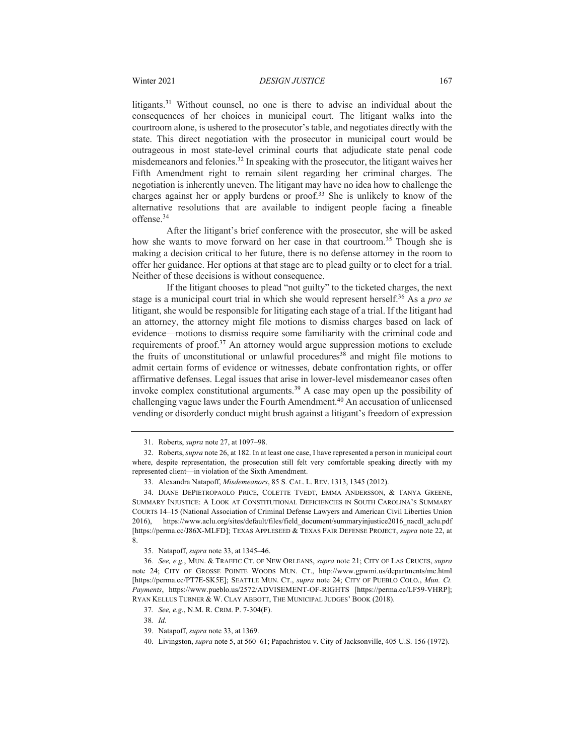litigants.31 Without counsel, no one is there to advise an individual about the consequences of her choices in municipal court. The litigant walks into the courtroom alone, is ushered to the prosecutor's table, and negotiates directly with the state. This direct negotiation with the prosecutor in municipal court would be outrageous in most state-level criminal courts that adjudicate state penal code misdemeanors and felonies.<sup>32</sup> In speaking with the prosecutor, the litigant waives her Fifth Amendment right to remain silent regarding her criminal charges. The negotiation is inherently uneven. The litigant may have no idea how to challenge the charges against her or apply burdens or proof.33 She is unlikely to know of the alternative resolutions that are available to indigent people facing a fineable offense.34

After the litigant's brief conference with the prosecutor, she will be asked how she wants to move forward on her case in that courtroom.<sup>35</sup> Though she is making a decision critical to her future, there is no defense attorney in the room to offer her guidance. Her options at that stage are to plead guilty or to elect for a trial. Neither of these decisions is without consequence.

If the litigant chooses to plead "not guilty" to the ticketed charges, the next stage is a municipal court trial in which she would represent herself.36 As a *pro se* litigant, she would be responsible for litigating each stage of a trial. If the litigant had an attorney, the attorney might file motions to dismiss charges based on lack of evidence—motions to dismiss require some familiarity with the criminal code and requirements of proof.<sup>37</sup> An attorney would argue suppression motions to exclude the fruits of unconstitutional or unlawful procedures<sup>38</sup> and might file motions to admit certain forms of evidence or witnesses, debate confrontation rights, or offer affirmative defenses. Legal issues that arise in lower-level misdemeanor cases often invoke complex constitutional arguments.39 A case may open up the possibility of challenging vague laws under the Fourth Amendment.<sup>40</sup> An accusation of unlicensed vending or disorderly conduct might brush against a litigant's freedom of expression

<sup>31.</sup> Roberts, *supra* note 27, at 1097–98.

<sup>32.</sup> Roberts, *supra* note 26, at 182. In at least one case, I have represented a person in municipal court where, despite representation, the prosecution still felt very comfortable speaking directly with my represented client—in violation of the Sixth Amendment.

<sup>33.</sup> Alexandra Natapoff, *Misdemeanors*, 85 S*.* CAL. L. REV. 1313, 1345 (2012).

<sup>34.</sup> DIANE DEPIETROPAOLO PRICE, COLETTE TVEDT, EMMA ANDERSSON, & TANYA GREENE, SUMMARY INJUSTICE: A LOOK AT CONSTITUTIONAL DEFICIENCIES IN SOUTH CAROLINA'S SUMMARY COURTS 14–15 (National Association of Criminal Defense Lawyers and American Civil Liberties Union 2016), https://www.aclu.org/sites/default/files/field\_document/summaryinjustice2016\_nacdl\_aclu.pdf [https://perma.cc/J86X-MLFD]; TEXAS APPLESEED & TEXAS FAIR DEFENSE PROJECT, *supra* note 22, at 8.

<sup>35.</sup> Natapoff, *supra* note 33, at 1345–46.

<sup>36</sup>*. See, e.g.*, MUN. & TRAFFIC CT. OF NEW ORLEANS, *supra* note 21; CITY OF LAS CRUCES, *supra*  note 24; CITY OF GROSSE POINTE WOODS MUN. CT., http://www.gpwmi.us/departments/mc.html [https://perma.cc/PT7E-SK5E]; SEATTLE MUN. CT., *supra* note 24; CITY OF PUEBLO COLO., *Mun. Ct. Payments*, https://www.pueblo.us/2572/ADVISEMENT-OF-RIGHTS [https://perma.cc/LF59-VHRP]; RYAN KELLUS TURNER & W. CLAY ABBOTT, THE MUNICIPAL JUDGES' BOOK (2018).

<sup>37</sup>*. See, e.g.*, N.M. R. CRIM. P. 7-304(F).

<sup>38</sup>*. Id.*

<sup>39.</sup> Natapoff, *supra* note 33, at 1369.

<sup>40.</sup> Livingston, *supra* note 5, at 560–61; Papachristou v. City of Jacksonville, 405 U.S. 156 (1972).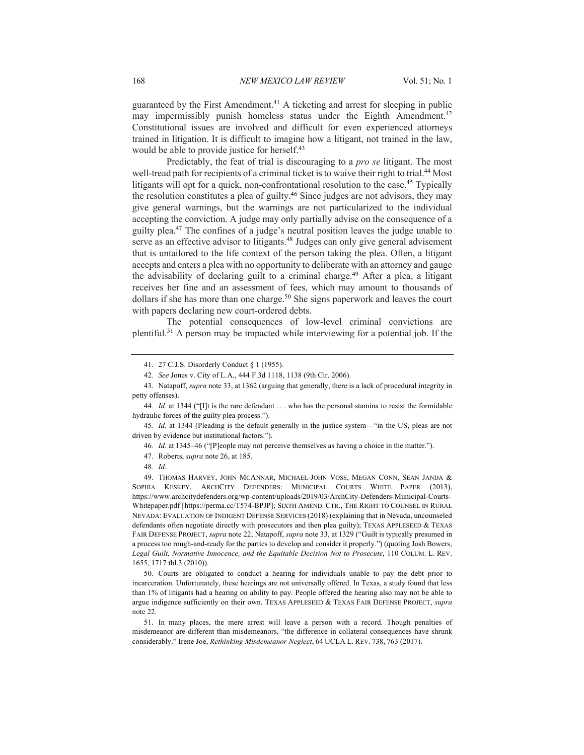guaranteed by the First Amendment.<sup>41</sup> A ticketing and arrest for sleeping in public may impermissibly punish homeless status under the Eighth Amendment.<sup>42</sup> Constitutional issues are involved and difficult for even experienced attorneys trained in litigation. It is difficult to imagine how a litigant, not trained in the law, would be able to provide justice for herself.<sup>43</sup>

Predictably, the feat of trial is discouraging to a *pro se* litigant. The most well-tread path for recipients of a criminal ticket is to waive their right to trial.<sup>44</sup> Most litigants will opt for a quick, non-confrontational resolution to the case.<sup>45</sup> Typically the resolution constitutes a plea of guilty.<sup>46</sup> Since judges are not advisors, they may give general warnings, but the warnings are not particularized to the individual accepting the conviction. A judge may only partially advise on the consequence of a guilty plea.47 The confines of a judge's neutral position leaves the judge unable to serve as an effective advisor to litigants.<sup>48</sup> Judges can only give general advisement that is untailored to the life context of the person taking the plea. Often, a litigant accepts and enters a plea with no opportunity to deliberate with an attorney and gauge the advisability of declaring guilt to a criminal charge.<sup>49</sup> After a plea, a litigant receives her fine and an assessment of fees, which may amount to thousands of dollars if she has more than one charge.<sup>50</sup> She signs paperwork and leaves the court with papers declaring new court-ordered debts.

The potential consequences of low-level criminal convictions are plentiful.51 A person may be impacted while interviewing for a potential job. If the

50. Courts are obligated to conduct a hearing for individuals unable to pay the debt prior to incarceration. Unfortunately, these hearings are not universally offered. In Texas, a study found that less than 1% of litigants had a hearing on ability to pay. People offered the hearing also may not be able to argue indigence sufficiently on their own. TEXAS APPLESEED & TEXAS FAIR DEFENSE PROJECT, *supra* note 22.

<sup>41.</sup> 27 C.J.S. Disorderly Conduct § 1 (1955).

<sup>42</sup>*. See* Jones v. City of L.A., 444 F.3d 1118, 1138 (9th Cir. 2006).

<sup>43.</sup> Natapoff, *supra* note 33, at 1362 (arguing that generally, there is a lack of procedural integrity in petty offenses).

<sup>44</sup>*. Id.* at 1344 ("[I]t is the rare defendant . . . who has the personal stamina to resist the formidable hydraulic forces of the guilty plea process.").

<sup>45</sup>*. Id.* at 1344 (Pleading is the default generally in the justice system—"in the US, pleas are not driven by evidence but institutional factors.").

<sup>46</sup>*. Id.* at 1345–46 ("[P]eople may not perceive themselves as having a choice in the matter.").

<sup>47.</sup> Roberts, *supra* note 26, at 185.

<sup>48</sup>*. Id.*

<sup>49.</sup> THOMAS HARVEY, JOHN MCANNAR, MICHAEL-JOHN VOSS, MEGAN CONN, SEAN JANDA & SOPHIA KESKEY, ARCHCITY DEFENDERS: MUNICIPAL COURTS WHITE PAPER (2013), https://www.archcitydefenders.org/wp-content/uploads/2019/03/ArchCity-Defenders-Municipal-Courts-Whitepaper.pdf [https://perma.cc/T574-BPJP]; SIXTH AMEND. CTR., THE RIGHT TO COUNSEL IN RURAL NEVADA: EVALUATION OF INDIGENT DEFENSE SERVICES (2018) (explaining that in Nevada, uncounseled defendants often negotiate directly with prosecutors and then plea guilty); TEXAS APPLESEED & TEXAS FAIR DEFENSE PROJECT, *supra* note 22; Natapoff, *supra* note 33, at 1329 ("Guilt is typically presumed in a process too rough-and-ready for the parties to develop and consider it properly.") (quoting Josh Bowers, *Legal Guilt, Normative Innocence, and the Equitable Decision Not to Prosecute*, 110 COLUM. L. REV. 1655, 1717 tbl.3 (2010)).

<sup>51.</sup> In many places, the mere arrest will leave a person with a record. Though penalties of misdemeanor are different than misdemeanors, "the difference in collateral consequences have shrunk considerably." Irene Joe, *Rethinking Misdemeanor Neglect*, 64 UCLA L. REV. 738, 763 (2017).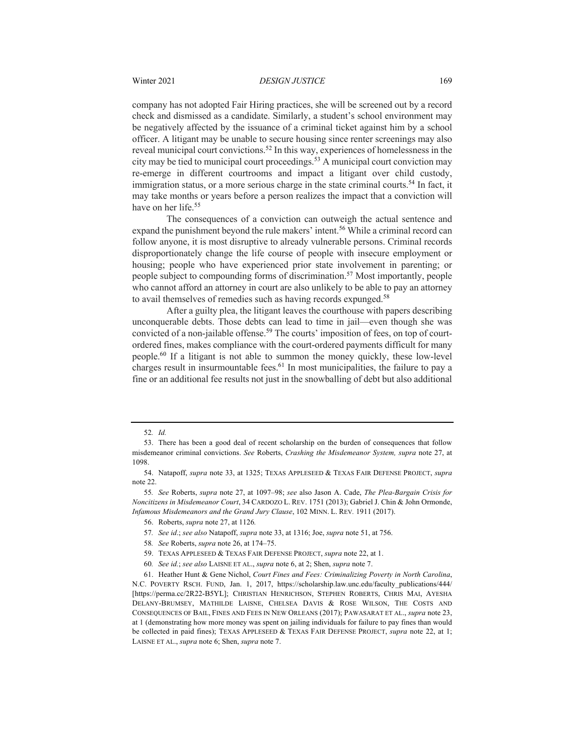company has not adopted Fair Hiring practices, she will be screened out by a record check and dismissed as a candidate. Similarly, a student's school environment may be negatively affected by the issuance of a criminal ticket against him by a school officer. A litigant may be unable to secure housing since renter screenings may also reveal municipal court convictions.<sup>52</sup> In this way, experiences of homelessness in the city may be tied to municipal court proceedings.<sup>53</sup> A municipal court conviction may re-emerge in different courtrooms and impact a litigant over child custody, immigration status, or a more serious charge in the state criminal courts.<sup>54</sup> In fact, it may take months or years before a person realizes the impact that a conviction will have on her life.<sup>55</sup>

The consequences of a conviction can outweigh the actual sentence and expand the punishment beyond the rule makers' intent.<sup>56</sup> While a criminal record can follow anyone, it is most disruptive to already vulnerable persons. Criminal records disproportionately change the life course of people with insecure employment or housing; people who have experienced prior state involvement in parenting; or people subject to compounding forms of discrimination.<sup>57</sup> Most importantly, people who cannot afford an attorney in court are also unlikely to be able to pay an attorney to avail themselves of remedies such as having records expunged.<sup>58</sup>

After a guilty plea, the litigant leaves the courthouse with papers describing unconquerable debts. Those debts can lead to time in jail—even though she was convicted of a non-jailable offense.<sup>59</sup> The courts' imposition of fees, on top of courtordered fines, makes compliance with the court-ordered payments difficult for many people.60 If a litigant is not able to summon the money quickly, these low-level charges result in insurmountable fees.<sup>61</sup> In most municipalities, the failure to pay a fine or an additional fee results not just in the snowballing of debt but also additional

<sup>52</sup>*. Id.*

<sup>53.</sup> There has been a good deal of recent scholarship on the burden of consequences that follow misdemeanor criminal convictions. *See* Roberts, *Crashing the Misdemeanor System, supra* note 27, at 1098.

<sup>54.</sup> Natapoff, *supra* note 33, at 1325; TEXAS APPLESEED & TEXAS FAIR DEFENSE PROJECT, *supra* note 22.

<sup>55</sup>*. See* Roberts, *supra* note 27, at 1097–98; *see* also Jason A. Cade, *The Plea-Bargain Crisis for Noncitizens in Misdemeanor Court*, 34 CARDOZO L. REV. 1751 (2013); Gabriel J. Chin & John Ormonde, *Infamous Misdemeanors and the Grand Jury Clause*, 102 MINN. L. REV*.* 1911 (2017).

<sup>56.</sup> Roberts, *supra* note 27, at 1126*.*

<sup>57</sup>*. See id*.; *see also* Natapoff, *supra* note 33, at 1316; Joe, *supra* note 51, at 756.

<sup>58</sup>*. See* Roberts, *supra* note 26, at 174–75.

<sup>59.</sup> TEXAS APPLESEED & TEXAS FAIR DEFENSE PROJECT, *supra* note 22, at 1.

<sup>60</sup>*. See id.*; *see also* LAISNE ET AL., *supra* note 6, at 2; Shen, *supra* note 7.

<sup>61.</sup> Heather Hunt & Gene Nichol, *Court Fines and Fees: Criminalizing Poverty in North Carolina*, N.C. POVERTY RSCH. FUND, Jan. 1, 2017, https://scholarship.law.unc.edu/faculty\_publications/444/ [https://perma.cc/2R22-B5YL]; CHRISTIAN HENRICHSON, STEPHEN ROBERTS, CHRIS MAI, AYESHA DELANY-BRUMSEY, MATHILDE LAISNE, CHELSEA DAVIS & ROSE WILSON, THE COSTS AND CONSEQUENCES OF BAIL, FINES AND FEES IN NEW ORLEANS (2017); PAWASARAT ET AL., *supra* note 23, at 1 (demonstrating how more money was spent on jailing individuals for failure to pay fines than would be collected in paid fines); TEXAS APPLESEED & TEXAS FAIR DEFENSE PROJECT, *supra* note 22, at 1; LAISNE ET AL., *supra* note 6; Shen, *supra* note 7.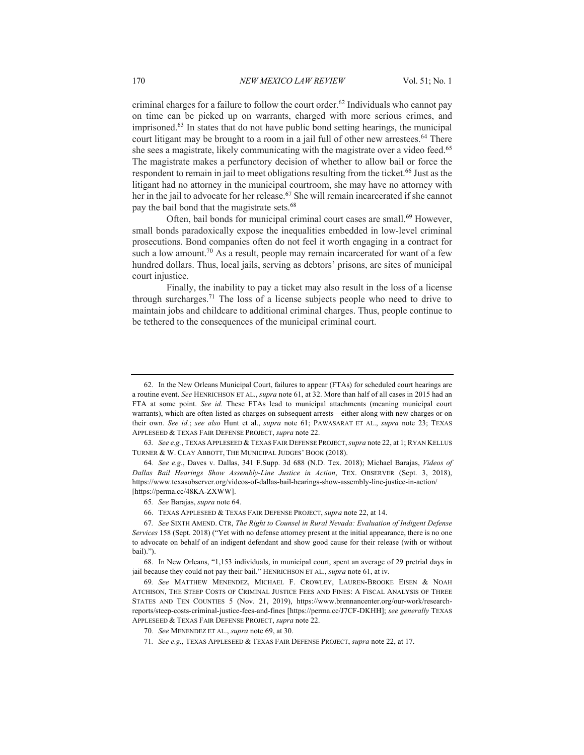criminal charges for a failure to follow the court order.<sup>62</sup> Individuals who cannot pay on time can be picked up on warrants, charged with more serious crimes, and imprisoned.63 In states that do not have public bond setting hearings, the municipal court litigant may be brought to a room in a jail full of other new arrestees.<sup>64</sup> There she sees a magistrate, likely communicating with the magistrate over a video feed.<sup>65</sup> The magistrate makes a perfunctory decision of whether to allow bail or force the respondent to remain in jail to meet obligations resulting from the ticket.<sup>66</sup> Just as the litigant had no attorney in the municipal courtroom, she may have no attorney with her in the jail to advocate for her release.<sup>67</sup> She will remain incarcerated if she cannot pay the bail bond that the magistrate sets.<sup>68</sup>

Often, bail bonds for municipal criminal court cases are small.<sup>69</sup> However, small bonds paradoxically expose the inequalities embedded in low-level criminal prosecutions. Bond companies often do not feel it worth engaging in a contract for such a low amount.<sup>70</sup> As a result, people may remain incarcerated for want of a few hundred dollars. Thus, local jails, serving as debtors' prisons, are sites of municipal court injustice.

Finally, the inability to pay a ticket may also result in the loss of a license through surcharges.<sup>71</sup> The loss of a license subjects people who need to drive to maintain jobs and childcare to additional criminal charges. Thus, people continue to be tethered to the consequences of the municipal criminal court.

66. TEXAS APPLESEED & TEXAS FAIR DEFENSE PROJECT, *supra* note 22, at 14.

<sup>62.</sup> In the New Orleans Municipal Court, failures to appear (FTAs) for scheduled court hearings are a routine event. *See* HENRICHSON ET AL., *supra* note 61, at 32. More than half of all cases in 2015 had an FTA at some point. *See id.* These FTAs lead to municipal attachments (meaning municipal court warrants), which are often listed as charges on subsequent arrests—either along with new charges or on their own. *See id.*; *see also* Hunt et al., *supra* note 61; PAWASARAT ET AL., *supra* note 23; TEXAS APPLESEED & TEXAS FAIR DEFENSE PROJECT, *supra* note 22.

<sup>63</sup>*. See e.g.*, TEXAS APPLESEED & TEXAS FAIR DEFENSE PROJECT, *supra* note 22, at 1; RYAN KELLUS TURNER & W. CLAY ABBOTT, THE MUNICIPAL JUDGES' BOOK (2018).

<sup>64</sup>*. See e.g.*, Daves v. Dallas, 341 F.Supp. 3d 688 (N.D. Tex. 2018); Michael Barajas, *Videos of Dallas Bail Hearings Show Assembly-Line Justice in Action*, TEX. OBSERVER (Sept. 3, 2018), https://www.texasobserver.org/videos-of-dallas-bail-hearings-show-assembly-line-justice-in-action/ [https://perma.cc/48KA-ZXWW].

<sup>65</sup>*. See* Barajas, *supra* note 64.

<sup>67</sup>*. See* SIXTH AMEND. CTR, *The Right to Counsel in Rural Nevada: Evaluation of Indigent Defense Services* 158 (Sept. 2018) ("Yet with no defense attorney present at the initial appearance, there is no one to advocate on behalf of an indigent defendant and show good cause for their release (with or without bail).").

<sup>68.</sup> In New Orleans, "1,153 individuals, in municipal court, spent an average of 29 pretrial days in jail because they could not pay their bail." HENRICHSON ET AL., *supra* note 61, at iv.

<sup>69</sup>*. See* MATTHEW MENENDEZ, MICHAEL F. CROWLEY, LAUREN-BROOKE EISEN & NOAH ATCHISON, THE STEEP COSTS OF CRIMINAL JUSTICE FEES AND FINES: A FISCAL ANALYSIS OF THREE STATES AND TEN COUNTIES 5 (Nov. 21, 2019), https://www.brennancenter.org/our-work/researchreports/steep-costs-criminal-justice-fees-and-fines [https://perma.cc/J7CF-DKHH]; *see generally* TEXAS APPLESEED & TEXAS FAIR DEFENSE PROJECT, *supra* note 22.

<sup>70</sup>*. See* MENENDEZ ET AL., *supra* note 69, at 30.

<sup>71</sup>*. See e.g.*, TEXAS APPLESEED & TEXAS FAIR DEFENSE PROJECT, *supra* note 22, at 17.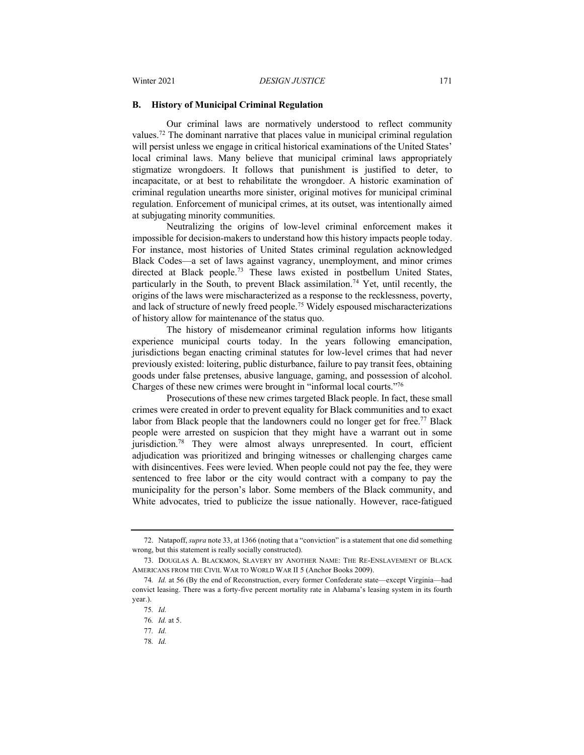#### **B. History of Municipal Criminal Regulation**

Our criminal laws are normatively understood to reflect community values.72 The dominant narrative that places value in municipal criminal regulation will persist unless we engage in critical historical examinations of the United States' local criminal laws. Many believe that municipal criminal laws appropriately stigmatize wrongdoers. It follows that punishment is justified to deter, to incapacitate, or at best to rehabilitate the wrongdoer. A historic examination of criminal regulation unearths more sinister, original motives for municipal criminal regulation. Enforcement of municipal crimes, at its outset, was intentionally aimed at subjugating minority communities.

Neutralizing the origins of low-level criminal enforcement makes it impossible for decision-makers to understand how this history impacts people today. For instance, most histories of United States criminal regulation acknowledged Black Codes—a set of laws against vagrancy, unemployment, and minor crimes directed at Black people.<sup>73</sup> These laws existed in postbellum United States, particularly in the South, to prevent Black assimilation.<sup>74</sup> Yet, until recently, the origins of the laws were mischaracterized as a response to the recklessness, poverty, and lack of structure of newly freed people.<sup>75</sup> Widely espoused mischaracterizations of history allow for maintenance of the status quo.

The history of misdemeanor criminal regulation informs how litigants experience municipal courts today. In the years following emancipation, jurisdictions began enacting criminal statutes for low-level crimes that had never previously existed: loitering, public disturbance, failure to pay transit fees, obtaining goods under false pretenses, abusive language, gaming, and possession of alcohol. Charges of these new crimes were brought in "informal local courts."76

Prosecutions of these new crimes targeted Black people. In fact, these small crimes were created in order to prevent equality for Black communities and to exact labor from Black people that the landowners could no longer get for free.<sup>77</sup> Black people were arrested on suspicion that they might have a warrant out in some jurisdiction.<sup>78</sup> They were almost always unrepresented. In court, efficient adjudication was prioritized and bringing witnesses or challenging charges came with disincentives. Fees were levied. When people could not pay the fee, they were sentenced to free labor or the city would contract with a company to pay the municipality for the person's labor. Some members of the Black community, and White advocates, tried to publicize the issue nationally. However, race-fatigued

<sup>72.</sup> Natapoff, *supra* note 33, at 1366 (noting that a "conviction" is a statement that one did something wrong, but this statement is really socially constructed).

<sup>73.</sup> DOUGLAS A. BLACKMON, SLAVERY BY ANOTHER NAME: THE RE-ENSLAVEMENT OF BLACK AMERICANS FROM THE CIVIL WAR TO WORLD WAR II 5 (Anchor Books 2009).

<sup>74</sup>*. Id.* at 56 (By the end of Reconstruction, every former Confederate state—except Virginia—had convict leasing. There was a forty-five percent mortality rate in Alabama's leasing system in its fourth year.).

<sup>75</sup>*. Id.*

<sup>76</sup>*. Id.* at 5.

<sup>77</sup>*. Id.*

<sup>78</sup>*. Id.*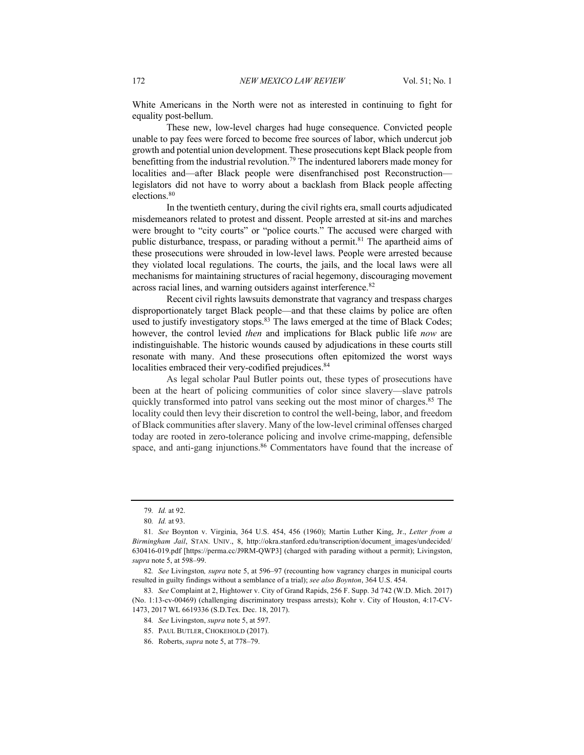White Americans in the North were not as interested in continuing to fight for equality post-bellum.

These new, low-level charges had huge consequence. Convicted people unable to pay fees were forced to become free sources of labor, which undercut job growth and potential union development. These prosecutions kept Black people from benefitting from the industrial revolution.<sup>79</sup> The indentured laborers made money for localities and—after Black people were disenfranchised post Reconstruction legislators did not have to worry about a backlash from Black people affecting elections.<sup>80</sup>

In the twentieth century, during the civil rights era, small courts adjudicated misdemeanors related to protest and dissent. People arrested at sit-ins and marches were brought to "city courts" or "police courts." The accused were charged with public disturbance, trespass, or parading without a permit.<sup>81</sup> The apartheid aims of these prosecutions were shrouded in low-level laws. People were arrested because they violated local regulations. The courts, the jails, and the local laws were all mechanisms for maintaining structures of racial hegemony, discouraging movement across racial lines, and warning outsiders against interference.<sup>82</sup>

Recent civil rights lawsuits demonstrate that vagrancy and trespass charges disproportionately target Black people—and that these claims by police are often used to justify investigatory stops.<sup>83</sup> The laws emerged at the time of Black Codes; however, the control levied *then* and implications for Black public life *now* are indistinguishable. The historic wounds caused by adjudications in these courts still resonate with many. And these prosecutions often epitomized the worst ways localities embraced their very-codified prejudices.<sup>84</sup>

As legal scholar Paul Butler points out, these types of prosecutions have been at the heart of policing communities of color since slavery—slave patrols quickly transformed into patrol vans seeking out the most minor of charges.<sup>85</sup> The locality could then levy their discretion to control the well-being, labor, and freedom of Black communities after slavery. Many of the low-level criminal offenses charged today are rooted in zero-tolerance policing and involve crime-mapping, defensible space, and anti-gang injunctions.<sup>86</sup> Commentators have found that the increase of

83*. See* Complaint at 2, Hightower v. City of Grand Rapids, 256 F. Supp. 3d 742 (W.D. Mich. 2017) (No. 1:13-cv-00469) (challenging discriminatory trespass arrests); Kohr v. City of Houston, 4:17-CV-1473, 2017 WL 6619336 (S.D.Tex. Dec. 18, 2017).

<sup>79</sup>*. Id.* at 92.

<sup>80</sup>*. Id.* at 93.

<sup>81</sup>*. See* Boynton v. Virginia, 364 U.S. 454, 456 (1960); Martin Luther King, Jr., *Letter from a Birmingham Jail*, STAN. UNIV., 8, http://okra.stanford.edu/transcription/document\_images/undecided/ 630416-019.pdf [https://perma.cc/J9RM-QWP3] (charged with parading without a permit); Livingston, *supra* note 5, at 598–99.

<sup>82</sup>*. See* Livingston*, supra* note 5, at 596–97 (recounting how vagrancy charges in municipal courts resulted in guilty findings without a semblance of a trial); *see also Boynton*, 364 U.S. 454.

<sup>84</sup>*. See* Livingston, *supra* note 5, at 597.

<sup>85.</sup> PAUL BUTLER, CHOKEHOLD (2017).

<sup>86.</sup> Roberts, *supra* note 5, at 778–79.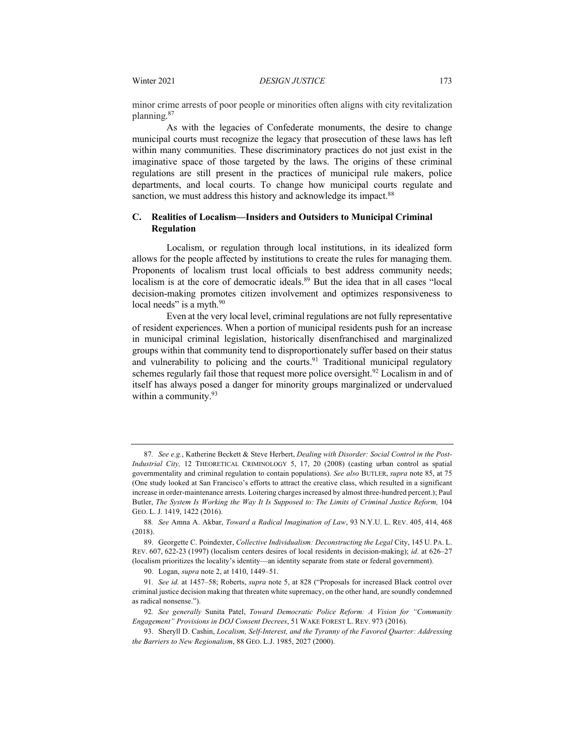minor crime arrests of poor people or minorities often aligns with city revitalization planning. 87

As with the legacies of Confederate monuments, the desire to change municipal courts must recognize the legacy that prosecution of these laws has left within many communities. These discriminatory practices do not just exist in the imaginative space of those targeted by the laws. The origins of these criminal regulations are still present in the practices of municipal rule makers, police departments, and local courts. To change how municipal courts regulate and sanction, we must address this history and acknowledge its impact.<sup>88</sup>

#### **C. Realities of Localism—Insiders and Outsiders to Municipal Criminal Regulation**

Localism, or regulation through local institutions, in its idealized form allows for the people affected by institutions to create the rules for managing them. Proponents of localism trust local officials to best address community needs; localism is at the core of democratic ideals.<sup>89</sup> But the idea that in all cases "local decision-making promotes citizen involvement and optimizes responsiveness to local needs" is a myth.<sup>90</sup>

Even at the very local level, criminal regulations are not fully representative of resident experiences. When a portion of municipal residents push for an increase in municipal criminal legislation, historically disenfranchised and marginalized groups within that community tend to disproportionately suffer based on their status and vulnerability to policing and the courts.<sup>91</sup> Traditional municipal regulatory schemes regularly fail those that request more police oversight.<sup>92</sup> Localism in and of itself has always posed a danger for minority groups marginalized or undervalued within a community.<sup>93</sup>

<sup>87</sup>*. See e.g.*, Katherine Beckett & Steve Herbert, *Dealing with Disorder: Social Control in the Post-Industrial City,* 12 THEORETICAL CRIMINOLOGY 5, 17, 20 (2008) (casting urban control as spatial governmentality and criminal regulation to contain populations). *See also* BUTLER, *supra* note 85, at 75 (One study looked at San Francisco's efforts to attract the creative class, which resulted in a significant increase in order-maintenance arrests. Loitering charges increased by almost three-hundred percent.); Paul Butler, *The System Is Working the Way It Is Supposed to: The Limits of Criminal Justice Reform,* 104 GEO. L. J. 1419, 1422 (2016).

<sup>88</sup>*. See* Amna A. Akbar, *Toward a Radical Imagination of Law*, 93 N.Y.U. L. REV. 405, 414, 468 (2018).

<sup>89.</sup> Georgette C. Poindexter, *Collective Individualism: Deconstructing the Legal* City, 145 U. PA. L. REV. 607, 622-23 (1997) (localism centers desires of local residents in decision-making); *id*. at 626–27 (localism prioritizes the locality's identity—an identity separate from state or federal government).

<sup>90.</sup> Logan, *supra* note 2, at 1410, 1449–51.

<sup>91</sup>*. See id.* at 1457–58; Roberts, *supra* note 5, at 828 ("Proposals for increased Black control over criminal justice decision making that threaten white supremacy, on the other hand, are soundly condemned as radical nonsense.").

<sup>92</sup>*. See generally* Sunita Patel, *Toward Democratic Police Reform: A Vision for "Community Engagement" Provisions in DOJ Consent Decrees*, 51 WAKE FOREST L. REV. 973 (2016).

<sup>93.</sup> Sheryll D. Cashin, *Localism, Self-Interest, and the Tyranny of the Favored Quarter: Addressing the Barriers to New Regionalism*, 88 GEO. L.J. 1985, 2027 (2000).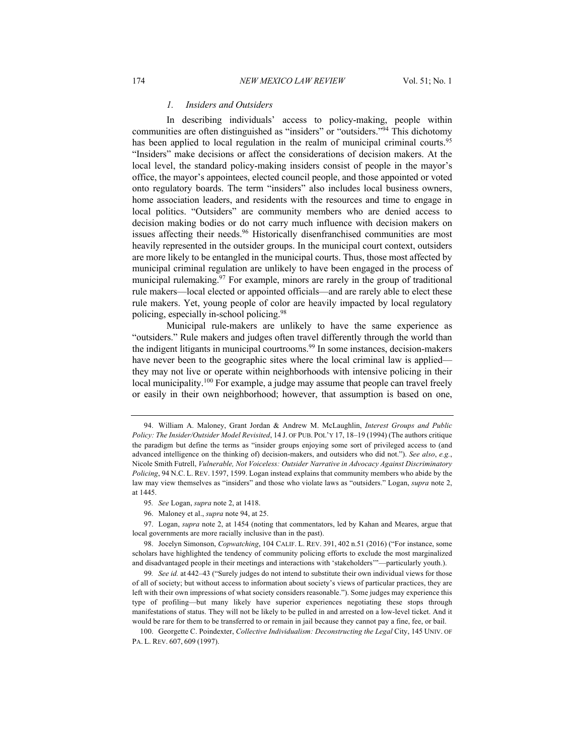#### *1. Insiders and Outsiders*

In describing individuals' access to policy-making, people within communities are often distinguished as "insiders" or "outsiders."<sup>94</sup> This dichotomy has been applied to local regulation in the realm of municipal criminal courts.<sup>95</sup> "Insiders" make decisions or affect the considerations of decision makers. At the local level, the standard policy-making insiders consist of people in the mayor's office, the mayor's appointees, elected council people, and those appointed or voted onto regulatory boards. The term "insiders" also includes local business owners, home association leaders, and residents with the resources and time to engage in local politics. "Outsiders" are community members who are denied access to decision making bodies or do not carry much influence with decision makers on issues affecting their needs.<sup>96</sup> Historically disenfranchised communities are most heavily represented in the outsider groups. In the municipal court context, outsiders are more likely to be entangled in the municipal courts. Thus, those most affected by municipal criminal regulation are unlikely to have been engaged in the process of municipal rulemaking.<sup>97</sup> For example, minors are rarely in the group of traditional rule makers—local elected or appointed officials—and are rarely able to elect these rule makers. Yet, young people of color are heavily impacted by local regulatory policing, especially in-school policing.98

Municipal rule-makers are unlikely to have the same experience as "outsiders." Rule makers and judges often travel differently through the world than the indigent litigants in municipal courtrooms.<sup>99</sup> In some instances, decision-makers have never been to the geographic sites where the local criminal law is applied they may not live or operate within neighborhoods with intensive policing in their local municipality.<sup>100</sup> For example, a judge may assume that people can travel freely or easily in their own neighborhood; however, that assumption is based on one,

96. Maloney et al., *supra* note 94, at 25.

97. Logan, *supra* note 2, at 1454 (noting that commentators, led by Kahan and Meares, argue that local governments are more racially inclusive than in the past).

<sup>94.</sup> William A. Maloney, Grant Jordan & Andrew M. McLaughlin, *Interest Groups and Public Policy: The Insider/Outsider Model Revisited*, 14 J. OF PUB. POL'Y 17, 18–19 (1994) (The authors critique the paradigm but define the terms as "insider groups enjoying some sort of privileged access to (and advanced intelligence on the thinking of) decision-makers, and outsiders who did not."). *See also*, *e.g.*, Nicole Smith Futrell, *Vulnerable, Not Voiceless: Outsider Narrative in Advocacy Against Discriminatory Policing*, 94 N.C. L. REV. 1597, 1599. Logan instead explains that community members who abide by the law may view themselves as "insiders" and those who violate laws as "outsiders." Logan, *supra* note 2, at 1445.

<sup>95</sup>*. See* Logan, *supra* note 2, at 1418.

<sup>98.</sup> Jocelyn Simonson, *Copwatching*, 104 CALIF. L. REV. 391, 402 n.51 (2016) ("For instance, some scholars have highlighted the tendency of community policing efforts to exclude the most marginalized and disadvantaged people in their meetings and interactions with 'stakeholders'"—particularly youth.).

<sup>99</sup>*. See id.* at 442–43 ("Surely judges do not intend to substitute their own individual views for those of all of society; but without access to information about society's views of particular practices, they are left with their own impressions of what society considers reasonable."). Some judges may experience this type of profiling—but many likely have superior experiences negotiating these stops through manifestations of status. They will not be likely to be pulled in and arrested on a low-level ticket. And it would be rare for them to be transferred to or remain in jail because they cannot pay a fine, fee, or bail.

<sup>100.</sup> Georgette C. Poindexter, *Collective Individualism: Deconstructing the Legal* City, 145 UNIV. OF PA. L. REV. 607, 609 (1997).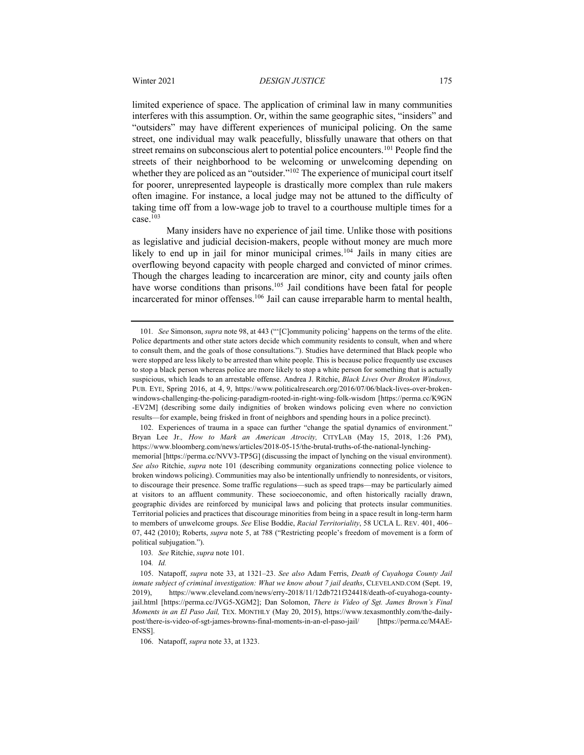limited experience of space. The application of criminal law in many communities interferes with this assumption. Or, within the same geographic sites, "insiders" and "outsiders" may have different experiences of municipal policing. On the same street, one individual may walk peacefully, blissfully unaware that others on that street remains on subconscious alert to potential police encounters.<sup>101</sup> People find the streets of their neighborhood to be welcoming or unwelcoming depending on whether they are policed as an "outsider."<sup>102</sup> The experience of municipal court itself for poorer, unrepresented laypeople is drastically more complex than rule makers often imagine. For instance, a local judge may not be attuned to the difficulty of taking time off from a low-wage job to travel to a courthouse multiple times for a case.103

Many insiders have no experience of jail time. Unlike those with positions as legislative and judicial decision-makers, people without money are much more likely to end up in jail for minor municipal crimes.<sup>104</sup> Jails in many cities are overflowing beyond capacity with people charged and convicted of minor crimes. Though the charges leading to incarceration are minor, city and county jails often have worse conditions than prisons.<sup>105</sup> Jail conditions have been fatal for people incarcerated for minor offenses.106 Jail can cause irreparable harm to mental health,

102. Experiences of trauma in a space can further "change the spatial dynamics of environment." Bryan Lee Jr.*, How to Mark an American Atrocity,* CITYLAB (May 15, 2018, 1:26 PM), https://www.bloomberg.com/news/articles/2018-05-15/the-brutal-truths-of-the-national-lynchingmemorial [https://perma.cc/NVV3-TP5G] (discussing the impact of lynching on the visual environment). *See also* Ritchie, *supra* note 101 (describing community organizations connecting police violence to broken windows policing). Communities may also be intentionally unfriendly to nonresidents, or visitors, to discourage their presence. Some traffic regulations—such as speed traps—may be particularly aimed at visitors to an affluent community. These socioeconomic, and often historically racially drawn, geographic divides are reinforced by municipal laws and policing that protects insular communities. Territorial policies and practices that discourage minorities from being in a space result in long-term harm to members of unwelcome groups. *See* Elise Boddie, *Racial Territoriality*, 58 UCLA L. REV. 401, 406– 07, 442 (2010); Roberts, *supra* note 5, at 788 ("Restricting people's freedom of movement is a form of political subjugation.").

103*. See* Ritchie, *supra* note 101.

106. Natapoff, *supra* note 33, at 1323.

<sup>101</sup>*. See* Simonson, *supra* note 98, at 443 ("'[C]ommunity policing' happens on the terms of the elite. Police departments and other state actors decide which community residents to consult, when and where to consult them, and the goals of those consultations."). Studies have determined that Black people who were stopped are less likely to be arrested than white people. This is because police frequently use excuses to stop a black person whereas police are more likely to stop a white person for something that is actually suspicious, which leads to an arrestable offense. Andrea J. Ritchie, *Black Lives Over Broken Windows,* PUB. EYE, Spring 2016, at 4, 9, https://www.politicalresearch.org/2016/07/06/black-lives-over-brokenwindows-challenging-the-policing-paradigm-rooted-in-right-wing-folk-wisdom [https://perma.cc/K9GN -EV2M] (describing some daily indignities of broken windows policing even where no conviction results—for example, being frisked in front of neighbors and spending hours in a police precinct).

<sup>104</sup>*. Id.*

<sup>105.</sup> Natapoff, *supra* note 33, at 1321–23. *See also* Adam Ferris, *Death of Cuyahoga County Jail inmate subject of criminal investigation: What we know about 7 jail deaths*, CLEVELAND.COM (Sept. 19, 2019), https://www.cleveland.com/news/erry-2018/11/12db721f324418/death-of-cuyahoga-countyjail.html [https://perma.cc/JVG5-XGM2]; Dan Solomon, *There is Video of Sgt. James Brown's Final Moments in an El Paso Jail,* TEX. MONTHLY (May 20, 2015), https://www.texasmonthly.com/the-dailypost/there-is-video-of-sgt-james-browns-final-moments-in-an-el-paso-jail/ [https://perma.cc/M4AE-ENSS].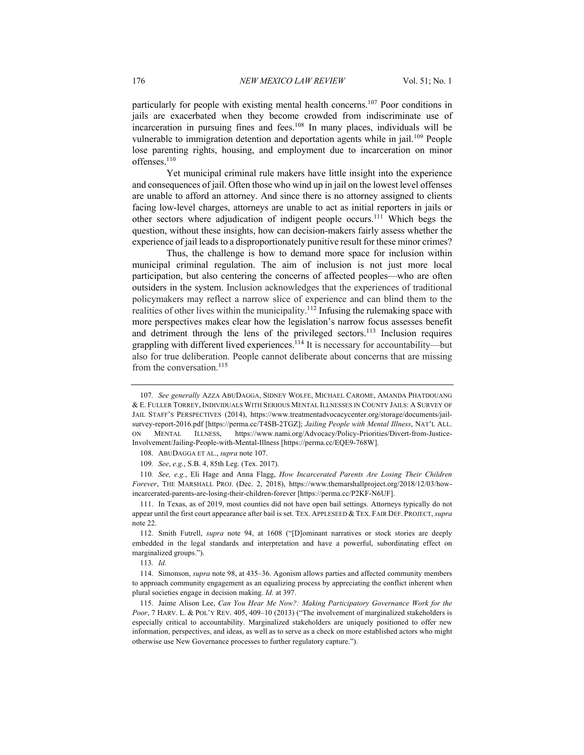particularly for people with existing mental health concerns.107 Poor conditions in jails are exacerbated when they become crowded from indiscriminate use of incarceration in pursuing fines and fees.<sup>108</sup> In many places, individuals will be vulnerable to immigration detention and deportation agents while in jail.<sup>109</sup> People lose parenting rights, housing, and employment due to incarceration on minor offenses.110

Yet municipal criminal rule makers have little insight into the experience and consequences of jail. Often those who wind up in jail on the lowest level offenses are unable to afford an attorney. And since there is no attorney assigned to clients facing low-level charges, attorneys are unable to act as initial reporters in jails or other sectors where adjudication of indigent people occurs.111 Which begs the question, without these insights, how can decision-makers fairly assess whether the experience of jail leads to a disproportionately punitive result for these minor crimes?

Thus, the challenge is how to demand more space for inclusion within municipal criminal regulation. The aim of inclusion is not just more local participation, but also centering the concerns of affected peoples—who are often outsiders in the system. Inclusion acknowledges that the experiences of traditional policymakers may reflect a narrow slice of experience and can blind them to the realities of other lives within the municipality.<sup>112</sup> Infusing the rulemaking space with more perspectives makes clear how the legislation's narrow focus assesses benefit and detriment through the lens of the privileged sectors.<sup>113</sup> Inclusion requires grappling with different lived experiences.114 It is necessary for accountability—but also for true deliberation. People cannot deliberate about concerns that are missing from the conversation.<sup>115</sup>

110*. See, e.g.*, Eli Hage and Anna Flagg, *How Incarcerated Parents Are Losing Their Children Forever*, THE MARSHALL PROJ. (Dec. 2, 2018), https://www.themarshallproject.org/2018/12/03/howincarcerated-parents-are-losing-their-children-forever [https://perma.cc/P2KF-N6UF].

<sup>107</sup>*. See generally* AZZA ABUDAGGA, SIDNEY WOLFE, MICHAEL CAROME, AMANDA PHATDOUANG & E. FULLER TORREY, INDIVIDUALS WITH SERIOUS MENTAL ILLNESSES IN COUNTY JAILS: A SURVEY OF JAIL STAFF'S PERSPECTIVES (2014), https://www.treatmentadvocacycenter.org/storage/documents/jailsurvey-report-2016.pdf [https://perma.cc/T4SB-2TGZ]; *Jailing People with Mental Illness*, NAT'L ALL. ON MENTAL ILLNESS, https://www.nami.org/Advocacy/Policy-Priorities/Divert-from-Justice-Involvement/Jailing-People-with-Mental-Illness [https://perma.cc/EQE9-768W].

<sup>108.</sup> ABUDAGGA ET AL., *supra* note 107.

<sup>109</sup>*. See*, *e.g.*, S.B. 4, 85th Leg. (Tex. 2017).

<sup>111.</sup> In Texas, as of 2019, most counties did not have open bail settings. Attorneys typically do not appear until the first court appearance after bail is set. TEX. APPLESEED & TEX. FAIR DEF. PROJECT, *supra* note 22.

<sup>112.</sup> Smith Futrell, *supra* note 94, at 1608 ("[D]ominant narratives or stock stories are deeply embedded in the legal standards and interpretation and have a powerful, subordinating effect on marginalized groups.").

<sup>113</sup>*. Id.*

<sup>114.</sup> Simonson, *supra* note 98, at 435–36. Agonism allows parties and affected community members to approach community engagement as an equalizing process by appreciating the conflict inherent when plural societies engage in decision making. *Id.* at 397.

<sup>115.</sup> Jaime Alison Lee, *Can You Hear Me Now?: Making Participatory Governance Work for the Poor*, 7 HARV. L. & POL'Y REV. 405, 409–10 (2013) ("The involvement of marginalized stakeholders is especially critical to accountability. Marginalized stakeholders are uniquely positioned to offer new information, perspectives, and ideas, as well as to serve as a check on more established actors who might otherwise use New Governance processes to further regulatory capture.").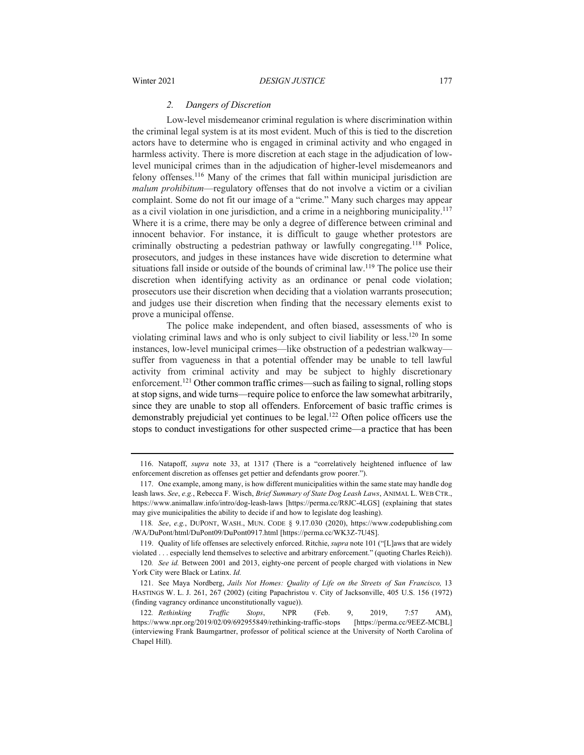#### *2. Dangers of Discretion*

Low-level misdemeanor criminal regulation is where discrimination within the criminal legal system is at its most evident. Much of this is tied to the discretion actors have to determine who is engaged in criminal activity and who engaged in harmless activity. There is more discretion at each stage in the adjudication of lowlevel municipal crimes than in the adjudication of higher-level misdemeanors and felony offenses.116 Many of the crimes that fall within municipal jurisdiction are *malum prohibitum*—regulatory offenses that do not involve a victim or a civilian complaint. Some do not fit our image of a "crime." Many such charges may appear as a civil violation in one jurisdiction, and a crime in a neighboring municipality.<sup>117</sup> Where it is a crime, there may be only a degree of difference between criminal and innocent behavior. For instance, it is difficult to gauge whether protestors are criminally obstructing a pedestrian pathway or lawfully congregating.118 Police, prosecutors, and judges in these instances have wide discretion to determine what situations fall inside or outside of the bounds of criminal law.<sup>119</sup> The police use their discretion when identifying activity as an ordinance or penal code violation; prosecutors use their discretion when deciding that a violation warrants prosecution; and judges use their discretion when finding that the necessary elements exist to prove a municipal offense.

The police make independent, and often biased, assessments of who is violating criminal laws and who is only subject to civil liability or less.120 In some instances, low-level municipal crimes—like obstruction of a pedestrian walkway suffer from vagueness in that a potential offender may be unable to tell lawful activity from criminal activity and may be subject to highly discretionary enforcement.121 Other common traffic crimes—such as failing to signal, rolling stops at stop signs, and wide turns—require police to enforce the law somewhat arbitrarily, since they are unable to stop all offenders. Enforcement of basic traffic crimes is demonstrably prejudicial yet continues to be legal.122 Often police officers use the stops to conduct investigations for other suspected crime—a practice that has been

<sup>116.</sup> Natapoff, *supra* note 33, at 1317 (There is a "correlatively heightened influence of law enforcement discretion as offenses get pettier and defendants grow poorer.").

<sup>117.</sup> One example, among many, is how different municipalities within the same state may handle dog leash laws. *See*, *e.g.*, Rebecca F. Wisch, *Brief Summary of State Dog Leash Laws*, ANIMAL L. WEB CTR., https://www.animallaw.info/intro/dog-leash-laws [https://perma.cc/R8JC-4LGS] (explaining that states may give municipalities the ability to decide if and how to legislate dog leashing).

<sup>118</sup>*. See*, *e.g.*, DUPONT, WASH., MUN. CODE § 9.17.030 (2020), https://www.codepublishing.com /WA/DuPont/html/DuPont09/DuPont0917.html [https://perma.cc/WK3Z-7U4S].

<sup>119.</sup> Quality of life offenses are selectively enforced. Ritchie, *supra* note 101 ("[L]aws that are widely violated . . . especially lend themselves to selective and arbitrary enforcement." (quoting Charles Reich)).

<sup>120</sup>*. See id.* Between 2001 and 2013, eighty-one percent of people charged with violations in New York City were Black or Latinx. *Id.*

<sup>121.</sup> See Maya Nordberg, *Jails Not Homes: Quality of Life on the Streets of San Francisco,* 13 HASTINGS W. L. J. 261, 267 (2002) (citing Papachristou v. City of Jacksonville, 405 U.S. 156 (1972) (finding vagrancy ordinance unconstitutionally vague)).

<sup>122</sup>*. Rethinking Traffic Stops*, NPR (Feb. 9, 2019, 7:57 AM), https://www.npr.org/2019/02/09/692955849/rethinking-traffic-stops [https://perma.cc/9EEZ-MCBL] (interviewing Frank Baumgartner, professor of political science at the University of North Carolina of Chapel Hill).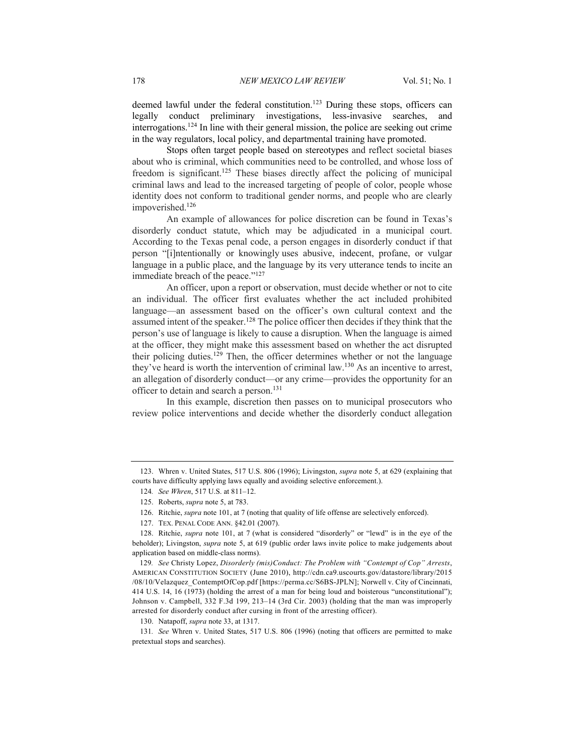deemed lawful under the federal constitution.<sup>123</sup> During these stops, officers can legally conduct preliminary investigations, less-invasive searches, and interrogations.124 In line with their general mission, the police are seeking out crime in the way regulators, local policy, and departmental training have promoted.

Stops often target people based on stereotypes and reflect societal biases about who is criminal, which communities need to be controlled, and whose loss of freedom is significant.<sup>125</sup> These biases directly affect the policing of municipal criminal laws and lead to the increased targeting of people of color, people whose identity does not conform to traditional gender norms, and people who are clearly impoverished.126

An example of allowances for police discretion can be found in Texas's disorderly conduct statute, which may be adjudicated in a municipal court. According to the Texas penal code, a person engages in disorderly conduct if that person "[i]ntentionally or knowingly uses abusive, indecent, profane, or vulgar language in a public place, and the language by its very utterance tends to incite an immediate breach of the peace."127

An officer, upon a report or observation, must decide whether or not to cite an individual. The officer first evaluates whether the act included prohibited language—an assessment based on the officer's own cultural context and the assumed intent of the speaker.<sup>128</sup> The police officer then decides if they think that the person's use of language is likely to cause a disruption. When the language is aimed at the officer, they might make this assessment based on whether the act disrupted their policing duties.<sup>129</sup> Then, the officer determines whether or not the language they've heard is worth the intervention of criminal law.<sup>130</sup> As an incentive to arrest, an allegation of disorderly conduct—or any crime—provides the opportunity for an officer to detain and search a person.<sup>131</sup>

In this example, discretion then passes on to municipal prosecutors who review police interventions and decide whether the disorderly conduct allegation

129*. See* Christy Lopez, *Disorderly (mis)Conduct: The Problem with "Contempt of Cop" Arrests*, AMERICAN CONSTITUTION SOCIETY (June 2010), http://cdn.ca9.uscourts.gov/datastore/library/2015 /08/10/Velazquez\_ContemptOfCop.pdf [https://perma.cc/S6BS-JPLN]; Norwell v. City of Cincinnati, 414 U.S. 14, 16 (1973) (holding the arrest of a man for being loud and boisterous "unconstitutional"); Johnson v. Campbell, 332 F.3d 199, 213–14 (3rd Cir. 2003) (holding that the man was improperly arrested for disorderly conduct after cursing in front of the arresting officer).

<sup>123.</sup> Whren v. United States, 517 U.S. 806 (1996); Livingston, *supra* note 5, at 629 (explaining that courts have difficulty applying laws equally and avoiding selective enforcement.).

<sup>124</sup>*. See Whren*, 517 U.S. at 811–12.

<sup>125.</sup> Roberts, *supra* note 5, at 783.

<sup>126.</sup> Ritchie, *supra* note 101, at 7 (noting that quality of life offense are selectively enforced).

<sup>127.</sup> TEX. PENAL CODE ANN. §42.01 (2007).

<sup>128.</sup> Ritchie, *supra* note 101, at 7 (what is considered "disorderly" or "lewd" is in the eye of the beholder); Livingston, *supra* note 5, at 619 (public order laws invite police to make judgements about application based on middle-class norms).

<sup>130.</sup> Natapoff, *supra* note 33, at 1317.

<sup>131</sup>*. See* Whren v. United States, 517 U.S. 806 (1996) (noting that officers are permitted to make pretextual stops and searches).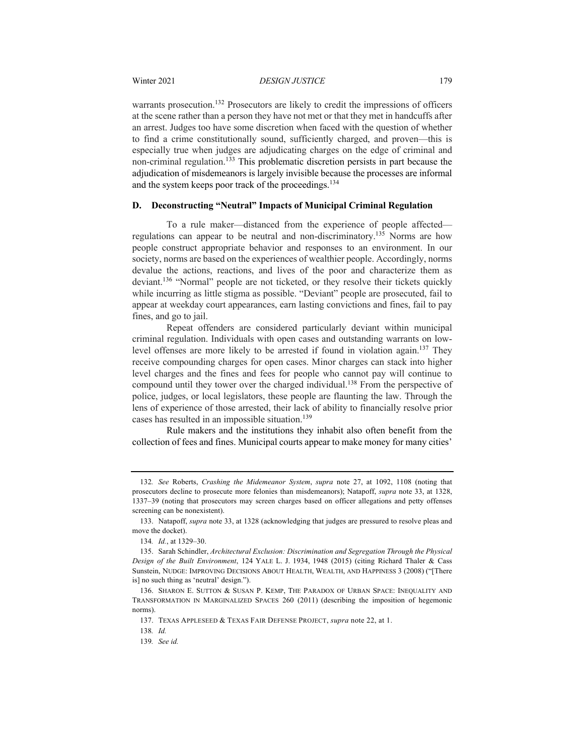warrants prosecution.<sup>132</sup> Prosecutors are likely to credit the impressions of officers at the scene rather than a person they have not met or that they met in handcuffs after an arrest. Judges too have some discretion when faced with the question of whether to find a crime constitutionally sound, sufficiently charged, and proven—this is especially true when judges are adjudicating charges on the edge of criminal and non-criminal regulation.<sup>133</sup> This problematic discretion persists in part because the adjudication of misdemeanors is largely invisible because the processes are informal and the system keeps poor track of the proceedings.<sup>134</sup>

#### **D. Deconstructing "Neutral" Impacts of Municipal Criminal Regulation**

To a rule maker—distanced from the experience of people affected regulations can appear to be neutral and non-discriminatory.<sup>135</sup> Norms are how people construct appropriate behavior and responses to an environment. In our society, norms are based on the experiences of wealthier people. Accordingly, norms devalue the actions, reactions, and lives of the poor and characterize them as deviant.136 "Normal" people are not ticketed, or they resolve their tickets quickly while incurring as little stigma as possible. "Deviant" people are prosecuted, fail to appear at weekday court appearances, earn lasting convictions and fines, fail to pay fines, and go to jail.

Repeat offenders are considered particularly deviant within municipal criminal regulation. Individuals with open cases and outstanding warrants on lowlevel offenses are more likely to be arrested if found in violation again.<sup>137</sup> They receive compounding charges for open cases. Minor charges can stack into higher level charges and the fines and fees for people who cannot pay will continue to compound until they tower over the charged individual.<sup>138</sup> From the perspective of police, judges, or local legislators, these people are flaunting the law. Through the lens of experience of those arrested, their lack of ability to financially resolve prior cases has resulted in an impossible situation.<sup>139</sup>

Rule makers and the institutions they inhabit also often benefit from the collection of fees and fines. Municipal courts appear to make money for many cities'

<sup>132</sup>*. See* Roberts, *Crashing the Midemeanor System*, *supra* note 27, at 1092, 1108 (noting that prosecutors decline to prosecute more felonies than misdemeanors); Natapoff, *supra* note 33, at 1328, 1337–39 (noting that prosecutors may screen charges based on officer allegations and petty offenses screening can be nonexistent).

<sup>133.</sup> Natapoff, *supra* note 33, at 1328 (acknowledging that judges are pressured to resolve pleas and move the docket).

<sup>134</sup>*. Id.*, at 1329–30.

<sup>135.</sup> Sarah Schindler, *Architectural Exclusion: Discrimination and Segregation Through the Physical Design of the Built Environment*, 124 YALE L. J. 1934, 1948 (2015) (citing Richard Thaler & Cass Sunstein, NUDGE: IMPROVING DECISIONS ABOUT HEALTH, WEALTH, AND HAPPINESS 3 (2008) ("[There is] no such thing as 'neutral' design.").

<sup>136.</sup> SHARON E. SUTTON & SUSAN P. KEMP, THE PARADOX OF URBAN SPACE: INEQUALITY AND TRANSFORMATION IN MARGINALIZED SPACES 260 (2011) (describing the imposition of hegemonic norms).

<sup>137.</sup> TEXAS APPLESEED & TEXAS FAIR DEFENSE PROJECT, *supra* note 22, at 1.

<sup>138</sup>*. Id.*

<sup>139</sup>*. See id.*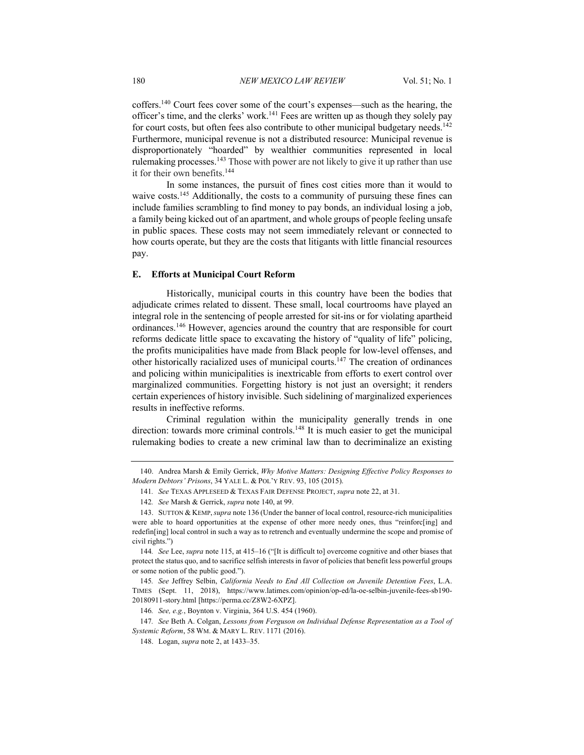coffers.140 Court fees cover some of the court's expenses—such as the hearing, the officer's time, and the clerks' work.<sup>141</sup> Fees are written up as though they solely pay for court costs, but often fees also contribute to other municipal budgetary needs.<sup>142</sup> Furthermore, municipal revenue is not a distributed resource: Municipal revenue is disproportionately "hoarded" by wealthier communities represented in local rulemaking processes.<sup>143</sup> Those with power are not likely to give it up rather than use it for their own benefits.144

In some instances, the pursuit of fines cost cities more than it would to waive costs.<sup>145</sup> Additionally, the costs to a community of pursuing these fines can include families scrambling to find money to pay bonds, an individual losing a job, a family being kicked out of an apartment, and whole groups of people feeling unsafe in public spaces. These costs may not seem immediately relevant or connected to how courts operate, but they are the costs that litigants with little financial resources pay.

#### **E. Efforts at Municipal Court Reform**

Historically, municipal courts in this country have been the bodies that adjudicate crimes related to dissent. These small, local courtrooms have played an integral role in the sentencing of people arrested for sit-ins or for violating apartheid ordinances.146 However, agencies around the country that are responsible for court reforms dedicate little space to excavating the history of "quality of life" policing, the profits municipalities have made from Black people for low-level offenses, and other historically racialized uses of municipal courts.147 The creation of ordinances and policing within municipalities is inextricable from efforts to exert control over marginalized communities. Forgetting history is not just an oversight; it renders certain experiences of history invisible. Such sidelining of marginalized experiences results in ineffective reforms.

Criminal regulation within the municipality generally trends in one direction: towards more criminal controls.<sup>148</sup> It is much easier to get the municipal rulemaking bodies to create a new criminal law than to decriminalize an existing

<sup>140.</sup> Andrea Marsh & Emily Gerrick, *Why Motive Matters: Designing Effective Policy Responses to Modern Debtors' Prisons*, 34 YALE L. & POL'Y REV. 93, 105 (2015).

<sup>141</sup>*. See* TEXAS APPLESEED & TEXAS FAIR DEFENSE PROJECT, *supra* note 22, at 31.

<sup>142</sup>*. See* Marsh & Gerrick, *supra* note 140, at 99.

<sup>143.</sup> SUTTON & KEMP,*supra* note 136 (Under the banner of local control, resource-rich municipalities were able to hoard opportunities at the expense of other more needy ones, thus "reinforc[ing] and redefin[ing] local control in such a way as to retrench and eventually undermine the scope and promise of civil rights.")

<sup>144</sup>*. See* Lee, *supra* note 115, at 415–16 ("[It is difficult to] overcome cognitive and other biases that protect the status quo, and to sacrifice selfish interests in favor of policies that benefit less powerful groups or some notion of the public good.").

<sup>145</sup>*. See* Jeffrey Selbin, *California Needs to End All Collection on Juvenile Detention Fees*, L.A. TIMES (Sept. 11, 2018), https://www.latimes.com/opinion/op-ed/la-oe-selbin-juvenile-fees-sb190- 20180911-story.html [https://perma.cc/Z8W2-6XPZ].

<sup>146</sup>*. See, e.g.*, Boynton v. Virginia, 364 U.S. 454 (1960).

<sup>147</sup>*. See* Beth A. Colgan, *Lessons from Ferguson on Individual Defense Representation as a Tool of Systemic Reform*, 58 WM. & MARY L. REV. 1171 (2016).

<sup>148.</sup> Logan, *supra* note 2, at 1433–35.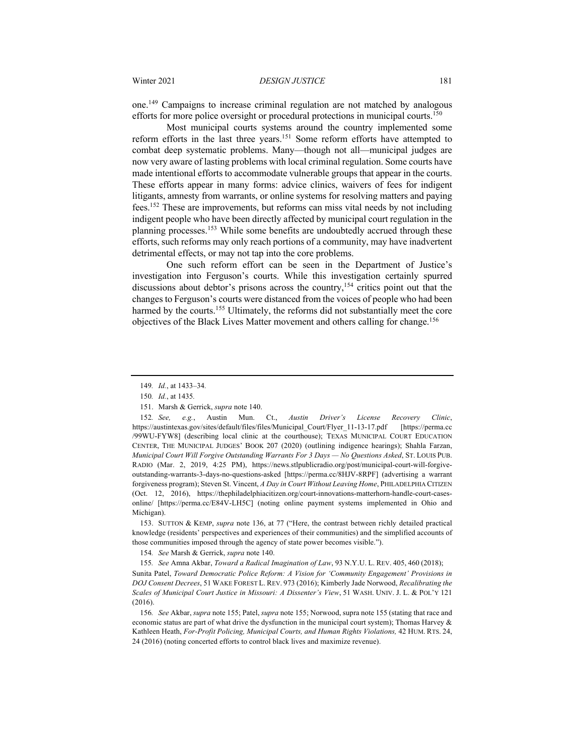one.149 Campaigns to increase criminal regulation are not matched by analogous efforts for more police oversight or procedural protections in municipal courts.<sup>150</sup>

Most municipal courts systems around the country implemented some reform efforts in the last three years.151 Some reform efforts have attempted to combat deep systematic problems. Many—though not all—municipal judges are now very aware of lasting problems with local criminal regulation. Some courts have made intentional efforts to accommodate vulnerable groups that appear in the courts. These efforts appear in many forms: advice clinics, waivers of fees for indigent litigants, amnesty from warrants, or online systems for resolving matters and paying fees.152 These are improvements, but reforms can miss vital needs by not including indigent people who have been directly affected by municipal court regulation in the planning processes.<sup>153</sup> While some benefits are undoubtedly accrued through these efforts, such reforms may only reach portions of a community, may have inadvertent detrimental effects, or may not tap into the core problems.

One such reform effort can be seen in the Department of Justice's investigation into Ferguson's courts. While this investigation certainly spurred discussions about debtor's prisons across the country,<sup>154</sup> critics point out that the changes to Ferguson's courts were distanced from the voices of people who had been harmed by the courts.<sup>155</sup> Ultimately, the reforms did not substantially meet the core objectives of the Black Lives Matter movement and others calling for change.<sup>156</sup>

153. SUTTON & KEMP, *supra* note 136, at 77 ("Here, the contrast between richly detailed practical knowledge (residents' perspectives and experiences of their communities) and the simplified accounts of those communities imposed through the agency of state power becomes visible.").

154*. See* Marsh & Gerrick, *supra* note 140.

155*. See* Amna Akbar, *Toward a Radical Imagination of Law*, 93 N.Y.U. L. REV. 405, 460 (2018);

Sunita Patel, *Toward Democratic Police Reform: A Vision for 'Community Engagement' Provisions in DOJ Consent Decrees*, 51 WAKE FOREST L. REV. 973 (2016); Kimberly Jade Norwood, *Recalibrating the Scales of Municipal Court Justice in Missouri: A Dissenter's View*, 51 WASH. UNIV. J. L. & POL'Y 121 (2016).

156*. See* Akbar, *supra* note 155; Patel, *supra* note 155; Norwood, supra note 155 (stating that race and economic status are part of what drive the dysfunction in the municipal court system); Thomas Harvey & Kathleen Heath, *For-Profit Policing, Municipal Courts, and Human Rights Violations,* 42 HUM. RTS. 24, 24 (2016) (noting concerted efforts to control black lives and maximize revenue).

<sup>149</sup>*. Id.*, at 1433–34*.*

<sup>150</sup>*. Id.*, at 1435*.*

<sup>151.</sup> Marsh & Gerrick, *supra* note 140.

<sup>152</sup>*. See, e.g.*, Austin Mun. Ct., *Austin Driver's License Recovery Clinic*, https://austintexas.gov/sites/default/files/files/Municipal\_Court/Flyer\_11-13-17.pdf [https://perma.cc /99WU-FYW8] (describing local clinic at the courthouse); TEXAS MUNICIPAL COURT EDUCATION CENTER, THE MUNICIPAL JUDGES' BOOK 207 (2020) (outlining indigence hearings); Shahla Farzan, *Municipal Court Will Forgive Outstanding Warrants For 3 Days — No Questions Asked*, ST. LOUIS PUB. RADIO (Mar. 2, 2019, 4:25 PM), https://news.stlpublicradio.org/post/municipal-court-will-forgiveoutstanding-warrants-3-days-no-questions-asked [https://perma.cc/8HJV-8RPF] (advertising a warrant forgiveness program); Steven St. Vincent, *A Day in Court Without Leaving Home*, PHILADELPHIA CITIZEN (Oct. 12, 2016), https://thephiladelphiacitizen.org/court-innovations-matterhorn-handle-court-casesonline/ [https://perma.cc/E84V-LH5C] (noting online payment systems implemented in Ohio and Michigan).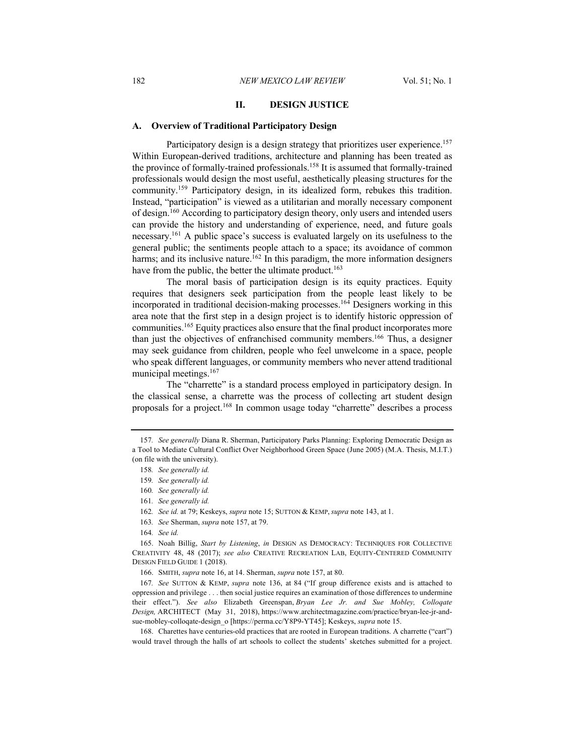#### **II. DESIGN JUSTICE**

#### **A. Overview of Traditional Participatory Design**

Participatory design is a design strategy that prioritizes user experience.<sup>157</sup> Within European-derived traditions, architecture and planning has been treated as the province of formally-trained professionals.<sup>158</sup> It is assumed that formally-trained professionals would design the most useful, aesthetically pleasing structures for the community.159 Participatory design, in its idealized form, rebukes this tradition. Instead, "participation" is viewed as a utilitarian and morally necessary component of design.160 According to participatory design theory, only users and intended users can provide the history and understanding of experience, need, and future goals necessary.<sup>161</sup> A public space's success is evaluated largely on its usefulness to the general public; the sentiments people attach to a space; its avoidance of common harms; and its inclusive nature.<sup>162</sup> In this paradigm, the more information designers have from the public, the better the ultimate product.<sup>163</sup>

The moral basis of participation design is its equity practices. Equity requires that designers seek participation from the people least likely to be incorporated in traditional decision-making processes.164 Designers working in this area note that the first step in a design project is to identify historic oppression of communities.165 Equity practices also ensure that the final product incorporates more than just the objectives of enfranchised community members.166 Thus, a designer may seek guidance from children, people who feel unwelcome in a space, people who speak different languages, or community members who never attend traditional municipal meetings.167

The "charrette" is a standard process employed in participatory design. In the classical sense, a charrette was the process of collecting art student design proposals for a project.<sup>168</sup> In common usage today "charrette" describes a process

<sup>157</sup>*. See generally* Diana R. Sherman, Participatory Parks Planning: Exploring Democratic Design as a Tool to Mediate Cultural Conflict Over Neighborhood Green Space (June 2005) (M.A. Thesis, M.I.T.) (on file with the university).

<sup>158</sup>*. See generally id.*

<sup>159</sup>*. See generally id.*

<sup>160</sup>*. See generally id.*

<sup>161</sup>*. See generally id.*

<sup>162</sup>*. See id.* at 79; Keskeys, *supra* note 15; SUTTON & KEMP, *supra* note 143, at 1.

<sup>163</sup>*. See* Sherman, *supra* note 157, at 79.

<sup>164</sup>*. See id.*

<sup>165.</sup> Noah Billig, *Start by Listening*, *in* DESIGN AS DEMOCRACY: TECHNIQUES FOR COLLECTIVE CREATIVITY 48, 48 (2017); *see also* CREATIVE RECREATION LAB, EQUITY-CENTERED COMMUNITY DESIGN FIELD GUIDE 1 (2018).

<sup>166.</sup> SMITH, *supra* note 16, at 14. Sherman, *supra* note 157, at 80.

<sup>167</sup>*. See* SUTTON & KEMP, *supra* note 136, at 84 ("If group difference exists and is attached to oppression and privilege . . . then social justice requires an examination of those differences to undermine their effect."). *See also* Elizabeth Greenspan, *Bryan Lee Jr. and Sue Mobley, Colloqate Design,* ARCHITECT (May 31, 2018), https://www.architectmagazine.com/practice/bryan-lee-jr-andsue-mobley-colloqate-design\_o [https://perma.cc/Y8P9-YT45]; Keskeys, *supra* note 15.

<sup>168.</sup> Charettes have centuries-old practices that are rooted in European traditions. A charrette ("cart") would travel through the halls of art schools to collect the students' sketches submitted for a project.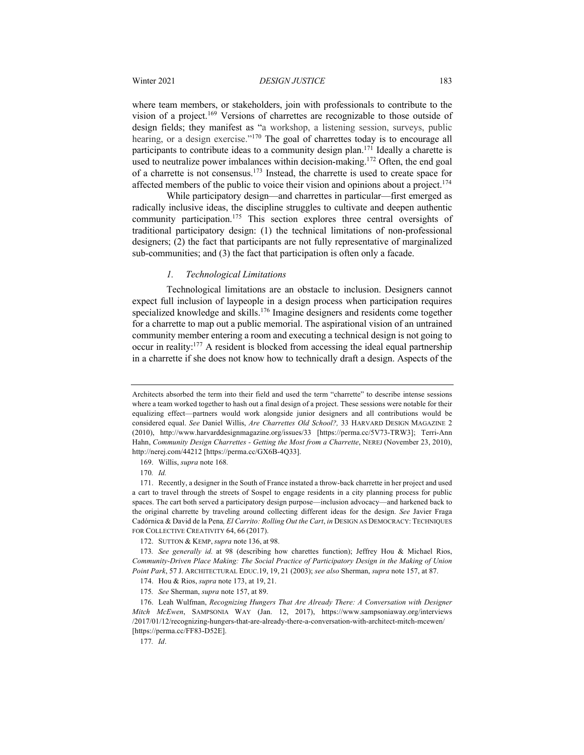where team members, or stakeholders, join with professionals to contribute to the vision of a project.169 Versions of charrettes are recognizable to those outside of design fields; they manifest as "a workshop, a listening session, surveys, public hearing, or a design exercise."<sup>170</sup> The goal of charrettes today is to encourage all participants to contribute ideas to a community design plan.<sup>171</sup> Ideally a charette is used to neutralize power imbalances within decision-making.<sup>172</sup> Often, the end goal of a charrette is not consensus.173 Instead, the charrette is used to create space for affected members of the public to voice their vision and opinions about a project.<sup>174</sup>

While participatory design—and charrettes in particular—first emerged as radically inclusive ideas, the discipline struggles to cultivate and deepen authentic community participation.<sup>175</sup> This section explores three central oversights of traditional participatory design: (1) the technical limitations of non-professional designers; (2) the fact that participants are not fully representative of marginalized sub-communities; and (3) the fact that participation is often only a facade.

#### *1. Technological Limitations*

Technological limitations are an obstacle to inclusion. Designers cannot expect full inclusion of laypeople in a design process when participation requires specialized knowledge and skills.<sup>176</sup> Imagine designers and residents come together for a charrette to map out a public memorial. The aspirational vision of an untrained community member entering a room and executing a technical design is not going to occur in reality:177 A resident is blocked from accessing the ideal equal partnership in a charrette if she does not know how to technically draft a design. Aspects of the

Architects absorbed the term into their field and used the term "charrette" to describe intense sessions where a team worked together to hash out a final design of a project. These sessions were notable for their equalizing effect—partners would work alongside junior designers and all contributions would be considered equal. *See* Daniel Willis, *Are Charrettes Old School?,* 33 HARVARD DESIGN MAGAZINE 2 (2010), http://www.harvarddesignmagazine.org/issues/33 [https://perma.cc/5V73-TRW3]; Terri-Ann Hahn, *Community Design Charrettes - Getting the Most from a Charrette*, NEREJ (November 23, 2010), http://nerej.com/44212 [https://perma.cc/GX6B-4Q33].

<sup>169.</sup> Willis, *supra* note 168*.*

<sup>170</sup>*. Id.*

<sup>171.</sup> Recently, a designer in the South of France instated a throw-back charrette in her project and used a cart to travel through the streets of Sospel to engage residents in a city planning process for public spaces. The cart both served a participatory design purpose—inclusion advocacy—and harkened back to the original charrette by traveling around collecting different ideas for the design. *See* Javier Fraga Cadórnica & David de la Pena*, El Carrito: Rolling Out the Cart*, *in* DESIGN AS DEMOCRACY: TECHNIQUES FOR COLLECTIVE CREATIVITY 64, 66 (2017).

<sup>172.</sup> SUTTON & KEMP, *supra* note 136, at 98.

<sup>173</sup>*. See generally id.* at 98 (describing how charettes function); Jeffrey Hou & Michael Rios, *Community-Driven Place Making: The Social Practice of Participatory Design in the Making of Union Point Park*, 57 J. ARCHITECTURAL EDUC.19, 19, 21 (2003); *see also* Sherman, *supra* note 157, at 87.

<sup>174.</sup> Hou & Rios, *supra* note 173, at 19, 21.

<sup>175</sup>*. See* Sherman, *supra* note 157, at 89.

<sup>176.</sup> Leah Wulfman, *Recognizing Hungers That Are Already There: A Conversation with Designer Mitch McEwen*, SAMPSONIA WAY (Jan. 12, 2017), https://www.sampsoniaway.org/interviews /2017/01/12/recognizing-hungers-that-are-already-there-a-conversation-with-architect-mitch-mcewen/ [https://perma.cc/FF83-D52E].

<sup>177</sup>*. Id*.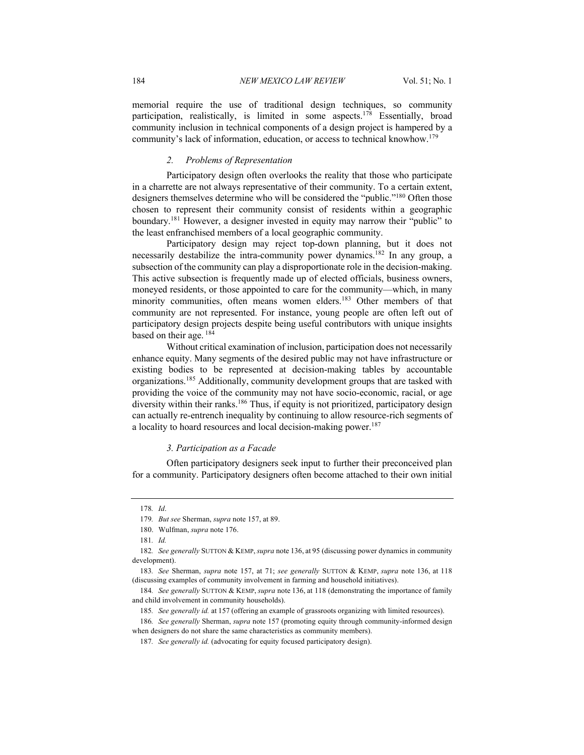memorial require the use of traditional design techniques, so community participation, realistically, is limited in some aspects.<sup>178</sup> Essentially, broad community inclusion in technical components of a design project is hampered by a community's lack of information, education, or access to technical knowhow.179

#### *2. Problems of Representation*

Participatory design often overlooks the reality that those who participate in a charrette are not always representative of their community. To a certain extent, designers themselves determine who will be considered the "public."<sup>180</sup> Often those chosen to represent their community consist of residents within a geographic boundary.<sup>181</sup> However, a designer invested in equity may narrow their "public" to the least enfranchised members of a local geographic community.

Participatory design may reject top-down planning, but it does not necessarily destabilize the intra-community power dynamics.<sup>182</sup> In any group, a subsection of the community can play a disproportionate role in the decision-making. This active subsection is frequently made up of elected officials, business owners, moneyed residents, or those appointed to care for the community—which, in many minority communities, often means women elders.<sup>183</sup> Other members of that community are not represented. For instance, young people are often left out of participatory design projects despite being useful contributors with unique insights based on their age.  $184$ 

Without critical examination of inclusion, participation does not necessarily enhance equity. Many segments of the desired public may not have infrastructure or existing bodies to be represented at decision-making tables by accountable organizations.<sup>185</sup> Additionally, community development groups that are tasked with providing the voice of the community may not have socio-economic, racial, or age diversity within their ranks.<sup>186</sup> Thus, if equity is not prioritized, participatory design can actually re-entrench inequality by continuing to allow resource-rich segments of a locality to hoard resources and local decision-making power.<sup>187</sup>

#### *3. Participation as a Facade*

Often participatory designers seek input to further their preconceived plan for a community. Participatory designers often become attached to their own initial

<sup>178</sup>*. Id*.

<sup>179</sup>*. But see* Sherman, *supra* note 157, at 89.

<sup>180.</sup> Wulfman, *supra* note 176.

<sup>181</sup>*. Id.*

<sup>182</sup>*. See generally* SUTTON & KEMP,*supra* note 136, at 95 (discussing power dynamics in community development).

<sup>183</sup>*. See* Sherman, *supra* note 157, at 71; *see generally* SUTTON & KEMP, *supra* note 136, at 118 (discussing examples of community involvement in farming and household initiatives).

<sup>184</sup>*. See generally* SUTTON & KEMP, *supra* note 136, at 118 (demonstrating the importance of family and child involvement in community households).

<sup>185</sup>*. See generally id.* at 157 (offering an example of grassroots organizing with limited resources).

<sup>186</sup>*. See generally* Sherman, *supra* note 157 (promoting equity through community-informed design when designers do not share the same characteristics as community members).

<sup>187</sup>*. See generally id.* (advocating for equity focused participatory design).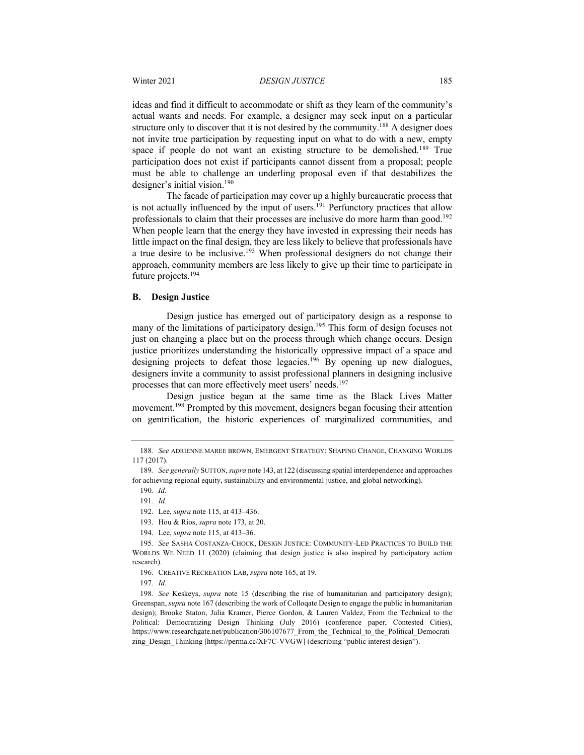ideas and find it difficult to accommodate or shift as they learn of the community's actual wants and needs. For example, a designer may seek input on a particular structure only to discover that it is not desired by the community.<sup>188</sup> A designer does not invite true participation by requesting input on what to do with a new, empty space if people do not want an existing structure to be demolished.<sup>189</sup> True participation does not exist if participants cannot dissent from a proposal; people must be able to challenge an underling proposal even if that destabilizes the designer's initial vision.<sup>190</sup>

The facade of participation may cover up a highly bureaucratic process that is not actually influenced by the input of users.<sup>191</sup> Perfunctory practices that allow professionals to claim that their processes are inclusive do more harm than good.<sup>192</sup> When people learn that the energy they have invested in expressing their needs has little impact on the final design, they are less likely to believe that professionals have a true desire to be inclusive.193 When professional designers do not change their approach, community members are less likely to give up their time to participate in future projects.194

#### **B. Design Justice**

Design justice has emerged out of participatory design as a response to many of the limitations of participatory design.<sup>195</sup> This form of design focuses not just on changing a place but on the process through which change occurs. Design justice prioritizes understanding the historically oppressive impact of a space and designing projects to defeat those legacies.<sup>196</sup> By opening up new dialogues, designers invite a community to assist professional planners in designing inclusive processes that can more effectively meet users' needs.<sup>197</sup>

Design justice began at the same time as the Black Lives Matter movement.<sup>198</sup> Prompted by this movement, designers began focusing their attention on gentrification, the historic experiences of marginalized communities, and

<sup>188</sup>*. See* ADRIENNE MAREE BROWN, EMERGENT STRATEGY: SHAPING CHANGE, CHANGING WORLDS 117 (2017).

<sup>189</sup>*. See generally* SUTTON,*supra* note 143, at 122 (discussing spatial interdependence and approaches for achieving regional equity, sustainability and environmental justice, and global networking).

<sup>190</sup>*. Id.*

<sup>191</sup>*. Id.*

<sup>192.</sup> Lee, *supra* note 115, at 413–436.

<sup>193.</sup> Hou & Rios, *supra* note 173, at 20.

<sup>194.</sup> Lee, *supra* note 115, at 413–36.

<sup>195</sup>*. See* SASHA COSTANZA-CHOCK, DESIGN JUSTICE: COMMUNITY-LED PRACTICES TO BUILD THE WORLDS WE NEED 11 (2020) (claiming that design justice is also inspired by participatory action research).

<sup>196.</sup> CREATIVE RECREATION LAB, *supra* note 165, at 19*.*

<sup>197</sup>*. Id.*

<sup>198</sup>*. See* Keskeys, *supra* note 15 (describing the rise of humanitarian and participatory design); Greenspan, *supra* note 167 (describing the work of Colloqate Design to engage the public in humanitarian design); Brooke Staton, Julia Kramer, Pierce Gordon, & Lauren Valdez, From the Technical to the Political: Democratizing Design Thinking (July 2016) (conference paper, Contested Cities), https://www.researchgate.net/publication/306107677 From the Technical to the Political Democrati zing\_Design\_Thinking [https://perma.cc/XF7C-VVGW] (describing "public interest design").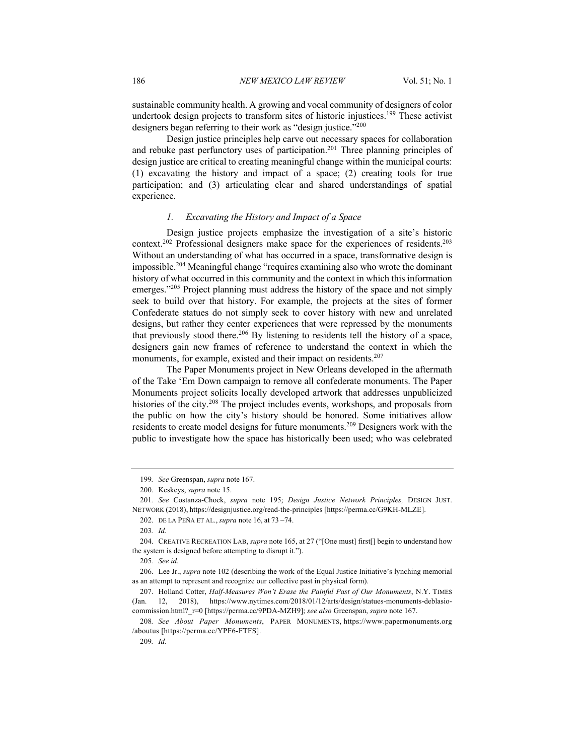sustainable community health. A growing and vocal community of designers of color undertook design projects to transform sites of historic injustices.<sup>199</sup> These activist designers began referring to their work as "design justice."<sup>200</sup>

Design justice principles help carve out necessary spaces for collaboration and rebuke past perfunctory uses of participation.<sup>201</sup> Three planning principles of design justice are critical to creating meaningful change within the municipal courts: (1) excavating the history and impact of a space; (2) creating tools for true participation; and (3) articulating clear and shared understandings of spatial experience.

#### *1. Excavating the History and Impact of a Space*

Design justice projects emphasize the investigation of a site's historic context.202 Professional designers make space for the experiences of residents. 203 Without an understanding of what has occurred in a space, transformative design is impossible.204 Meaningful change "requires examining also who wrote the dominant history of what occurred in this community and the context in which this information emerges."<sup>205</sup> Project planning must address the history of the space and not simply seek to build over that history. For example, the projects at the sites of former Confederate statues do not simply seek to cover history with new and unrelated designs, but rather they center experiences that were repressed by the monuments that previously stood there.<sup>206</sup> By listening to residents tell the history of a space, designers gain new frames of reference to understand the context in which the monuments, for example, existed and their impact on residents.<sup>207</sup>

The Paper Monuments project in New Orleans developed in the aftermath of the Take 'Em Down campaign to remove all confederate monuments. The Paper Monuments project solicits locally developed artwork that addresses unpublicized histories of the city.208 The project includes events, workshops, and proposals from the public on how the city's history should be honored. Some initiatives allow residents to create model designs for future monuments.<sup>209</sup> Designers work with the public to investigate how the space has historically been used; who was celebrated

205*. See id.*

<sup>199</sup>*. See* Greenspan, *supra* note 167.

<sup>200.</sup> Keskeys, *supra* note 15.

<sup>201</sup>*. See* Costanza-Chock, *supra* note 195; *Design Justice Network Principles,* DESIGN JUST. NETWORK (2018), https://designjustice.org/read-the-principles [https://perma.cc/G9KH-MLZE].

<sup>202.</sup> DE LA PEÑA ET AL., *supra* note 16, at 73 –74.

<sup>203</sup>*. Id.*

<sup>204.</sup> CREATIVE RECREATION LAB, *supra* note 165, at 27 ("[One must] first[] begin to understand how the system is designed before attempting to disrupt it.").

<sup>206.</sup> Lee Jr., *supra* note 102 (describing the work of the Equal Justice Initiative's lynching memorial as an attempt to represent and recognize our collective past in physical form).

<sup>207.</sup> Holland Cotter, *Half-Measures Won't Erase the Painful Past of Our Monuments*, N.Y. TIMES (Jan. 12, 2018), https://www.nytimes.com/2018/01/12/arts/design/statues-monuments-deblasiocommission.html?\_r=0 [https://perma.cc/9PDA-MZH9]; *see also* Greenspan, *supra* note 167.

<sup>208</sup>*. See About Paper Monuments*, PAPER MONUMENTS, https://www.papermonuments.org /aboutus [https://perma.cc/YPF6-FTFS].

<sup>209</sup>*. Id.*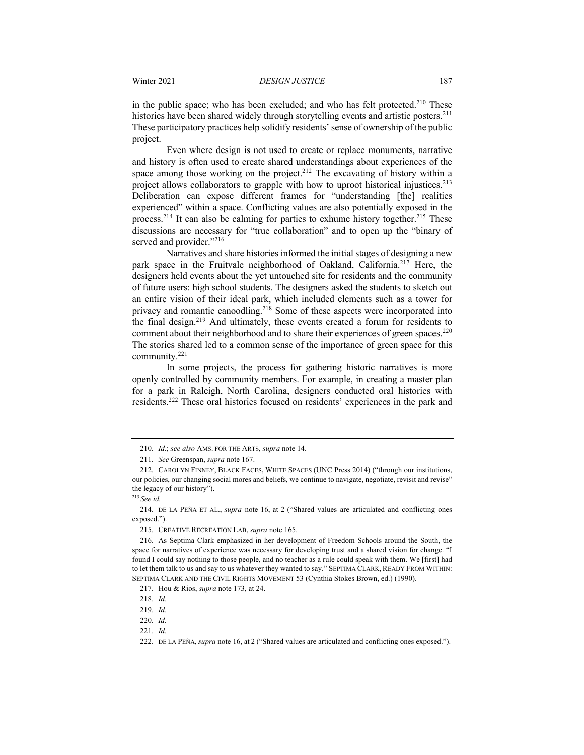in the public space; who has been excluded; and who has felt protected.<sup>210</sup> These histories have been shared widely through storytelling events and artistic posters.<sup>211</sup> These participatory practices help solidify residents' sense of ownership of the public project.

Even where design is not used to create or replace monuments, narrative and history is often used to create shared understandings about experiences of the space among those working on the project.<sup>212</sup> The excavating of history within a project allows collaborators to grapple with how to uproot historical injustices.<sup>213</sup> Deliberation can expose different frames for "understanding [the] realities experienced" within a space. Conflicting values are also potentially exposed in the process.<sup>214</sup> It can also be calming for parties to exhume history together.<sup>215</sup> These discussions are necessary for "true collaboration" and to open up the "binary of served and provider."<sup>216</sup>

Narratives and share histories informed the initial stages of designing a new park space in the Fruitvale neighborhood of Oakland, California.<sup>217</sup> Here, the designers held events about the yet untouched site for residents and the community of future users: high school students. The designers asked the students to sketch out an entire vision of their ideal park, which included elements such as a tower for privacy and romantic canoodling.<sup>218</sup> Some of these aspects were incorporated into the final design.219 And ultimately, these events created a forum for residents to comment about their neighborhood and to share their experiences of green spaces.<sup>220</sup> The stories shared led to a common sense of the importance of green space for this community.221

In some projects, the process for gathering historic narratives is more openly controlled by community members. For example, in creating a master plan for a park in Raleigh, North Carolina, designers conducted oral histories with residents.222 These oral histories focused on residents' experiences in the park and

221*. Id*.

<sup>210</sup>*. Id.*; *see also* AMS. FOR THE ARTS, *supra* note 14.

<sup>211</sup>*. See* Greenspan, *supra* note 167.

<sup>212.</sup> CAROLYN FINNEY, BLACK FACES, WHITE SPACES (UNC Press 2014) ("through our institutions, our policies, our changing social mores and beliefs, we continue to navigate, negotiate, revisit and revise" the legacy of our history").

<sup>213</sup>*See id.*

<sup>214.</sup> DE LA PEÑA ET AL., *supra* note 16, at 2 ("Shared values are articulated and conflicting ones exposed.").

<sup>215.</sup> CREATIVE RECREATION LAB, *supra* note 165.

<sup>216.</sup> As Septima Clark emphasized in her development of Freedom Schools around the South, the space for narratives of experience was necessary for developing trust and a shared vision for change. "I found I could say nothing to those people, and no teacher as a rule could speak with them. We [first] had to let them talk to us and say to us whatever they wanted to say." SEPTIMA CLARK, READY FROM WITHIN: SEPTIMA CLARK AND THE CIVIL RIGHTS MOVEMENT 53 (Cynthia Stokes Brown, ed.) (1990).

<sup>217.</sup> Hou & Rios, *supra* note 173, at 24.

<sup>218</sup>*. Id.*

<sup>219</sup>*. Id.*

<sup>220</sup>*. Id.*

<sup>222.</sup> DE LA PEÑA, *supra* note 16, at 2 ("Shared values are articulated and conflicting ones exposed.").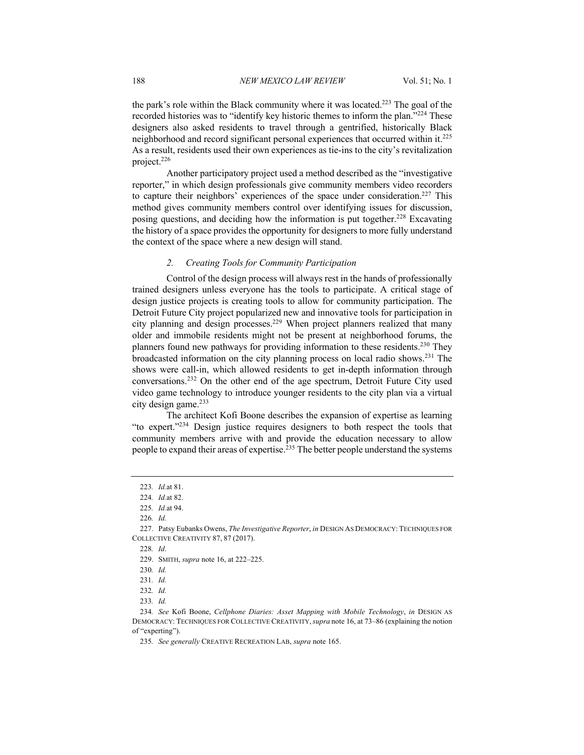the park's role within the Black community where it was located.<sup>223</sup> The goal of the recorded histories was to "identify key historic themes to inform the plan."<sup>224</sup> These designers also asked residents to travel through a gentrified, historically Black neighborhood and record significant personal experiences that occurred within it.225 As a result, residents used their own experiences as tie-ins to the city's revitalization project.226

Another participatory project used a method described as the "investigative reporter," in which design professionals give community members video recorders to capture their neighbors' experiences of the space under consideration.<sup>227</sup> This method gives community members control over identifying issues for discussion, posing questions, and deciding how the information is put together.<sup>228</sup> Excavating the history of a space provides the opportunity for designers to more fully understand the context of the space where a new design will stand.

#### *2. Creating Tools for Community Participation*

Control of the design process will always rest in the hands of professionally trained designers unless everyone has the tools to participate. A critical stage of design justice projects is creating tools to allow for community participation. The Detroit Future City project popularized new and innovative tools for participation in city planning and design processes.229 When project planners realized that many older and immobile residents might not be present at neighborhood forums, the planners found new pathways for providing information to these residents.<sup>230</sup> They broadcasted information on the city planning process on local radio shows.231 The shows were call-in, which allowed residents to get in-depth information through conversations.232 On the other end of the age spectrum, Detroit Future City used video game technology to introduce younger residents to the city plan via a virtual city design game.<sup>233</sup>

The architect Kofi Boone describes the expansion of expertise as learning "to expert."234 Design justice requires designers to both respect the tools that community members arrive with and provide the education necessary to allow people to expand their areas of expertise.<sup>235</sup> The better people understand the systems

<sup>223</sup>*. Id.*at 81.

<sup>224</sup>*. Id.*at 82.

<sup>225</sup>*. Id.*at 94.

<sup>226</sup>*. Id.*

<sup>227.</sup> Patsy Eubanks Owens, *The Investigative Reporter*, *in* DESIGN AS DEMOCRACY: TECHNIQUES FOR COLLECTIVE CREATIVITY 87, 87 (2017).

<sup>228</sup>*. Id*.

<sup>229.</sup> SMITH, *supra* note 16, at 222–225.

<sup>230</sup>*. Id.*

<sup>231</sup>*. Id.*

<sup>232</sup>*. Id.*

<sup>233</sup>*. Id.*

<sup>234</sup>*. See* Kofi Boone, *Cellphone Diaries: Asset Mapping with Mobile Technology*, *in* DESIGN AS DEMOCRACY: TECHNIQUES FOR COLLECTIVE CREATIVITY,*supra* note 16, at 73–86 (explaining the notion of "experting").

<sup>235</sup>*. See generally* CREATIVE RECREATION LAB, *supra* note 165.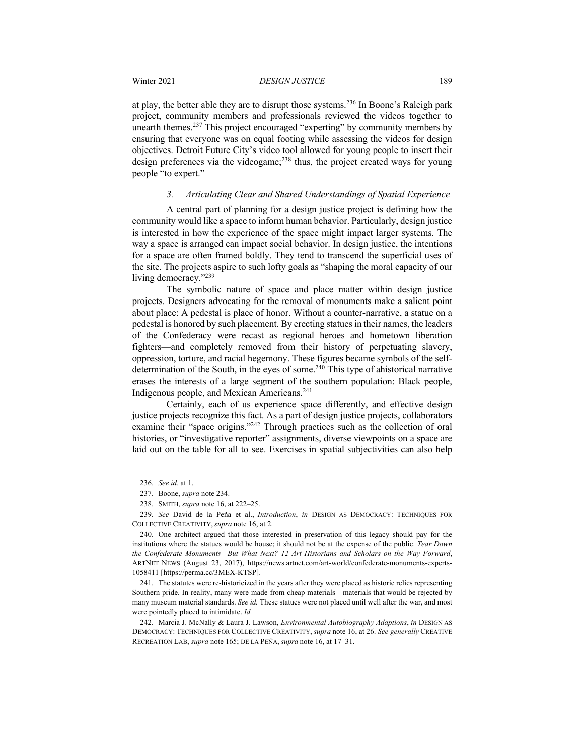at play, the better able they are to disrupt those systems.<sup>236</sup> In Boone's Raleigh park project, community members and professionals reviewed the videos together to unearth themes.<sup>237</sup> This project encouraged "experting" by community members by ensuring that everyone was on equal footing while assessing the videos for design objectives. Detroit Future City's video tool allowed for young people to insert their design preferences via the videogame;<sup>238</sup> thus, the project created ways for young people "to expert."

#### *3. Articulating Clear and Shared Understandings of Spatial Experience*

A central part of planning for a design justice project is defining how the community would like a space to inform human behavior. Particularly, design justice is interested in how the experience of the space might impact larger systems. The way a space is arranged can impact social behavior. In design justice, the intentions for a space are often framed boldly. They tend to transcend the superficial uses of the site. The projects aspire to such lofty goals as "shaping the moral capacity of our living democracy."239

The symbolic nature of space and place matter within design justice projects. Designers advocating for the removal of monuments make a salient point about place: A pedestal is place of honor. Without a counter-narrative, a statue on a pedestal is honored by such placement. By erecting statues in their names, the leaders of the Confederacy were recast as regional heroes and hometown liberation fighters—and completely removed from their history of perpetuating slavery, oppression, torture, and racial hegemony. These figures became symbols of the selfdetermination of the South, in the eyes of some.<sup>240</sup> This type of ahistorical narrative erases the interests of a large segment of the southern population: Black people, Indigenous people, and Mexican Americans.241

Certainly, each of us experience space differently, and effective design justice projects recognize this fact. As a part of design justice projects, collaborators examine their "space origins."<sup>242</sup> Through practices such as the collection of oral histories, or "investigative reporter" assignments, diverse viewpoints on a space are laid out on the table for all to see. Exercises in spatial subjectivities can also help

241. The statutes were re-historicized in the years after they were placed as historic relics representing Southern pride. In reality, many were made from cheap materials—materials that would be rejected by many museum material standards. *See id.* These statues were not placed until well after the war, and most were pointedly placed to intimidate. *Id.*

<sup>236</sup>*. See id.* at 1.

<sup>237.</sup> Boone, *supra* note 234.

<sup>238.</sup> SMITH, *supra* note 16, at 222–25.

<sup>239</sup>*. See* David de la Peña et al., *Introduction*, *in* DESIGN AS DEMOCRACY: TECHNIQUES FOR COLLECTIVE CREATIVITY, *supra* note 16, at 2.

<sup>240.</sup> One architect argued that those interested in preservation of this legacy should pay for the institutions where the statues would be house; it should not be at the expense of the public. *Tear Down the Confederate Monuments—But What Next? 12 Art Historians and Scholars on the Way Forward*, ARTNET NEWS (August 23, 2017), https://news.artnet.com/art-world/confederate-monuments-experts-1058411 [https://perma.cc/3MEX-KTSP].

<sup>242.</sup> Marcia J. McNally & Laura J. Lawson, *Environmental Autobiography Adaptions*, *in* DESIGN AS DEMOCRACY: TECHNIQUES FOR COLLECTIVE CREATIVITY, *supra* note 16, at 26. *See generally* CREATIVE RECREATION LAB, *supra* note 165; DE LA PEÑA, *supra* note 16, at 17–31.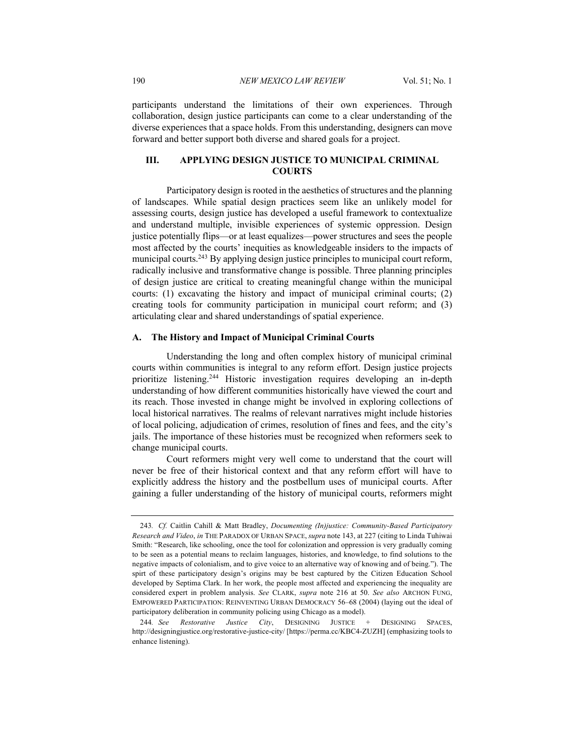participants understand the limitations of their own experiences. Through collaboration, design justice participants can come to a clear understanding of the diverse experiences that a space holds. From this understanding, designers can move forward and better support both diverse and shared goals for a project.

#### **III. APPLYING DESIGN JUSTICE TO MUNICIPAL CRIMINAL COURTS**

Participatory design is rooted in the aesthetics of structures and the planning of landscapes. While spatial design practices seem like an unlikely model for assessing courts, design justice has developed a useful framework to contextualize and understand multiple, invisible experiences of systemic oppression. Design justice potentially flips—or at least equalizes—power structures and sees the people most affected by the courts' inequities as knowledgeable insiders to the impacts of municipal courts.<sup>243</sup> By applying design justice principles to municipal court reform, radically inclusive and transformative change is possible. Three planning principles of design justice are critical to creating meaningful change within the municipal courts: (1) excavating the history and impact of municipal criminal courts; (2) creating tools for community participation in municipal court reform; and (3) articulating clear and shared understandings of spatial experience.

#### **A. The History and Impact of Municipal Criminal Courts**

Understanding the long and often complex history of municipal criminal courts within communities is integral to any reform effort. Design justice projects prioritize listening. <sup>244</sup> Historic investigation requires developing an in-depth understanding of how different communities historically have viewed the court and its reach. Those invested in change might be involved in exploring collections of local historical narratives. The realms of relevant narratives might include histories of local policing, adjudication of crimes, resolution of fines and fees, and the city's jails. The importance of these histories must be recognized when reformers seek to change municipal courts.

Court reformers might very well come to understand that the court will never be free of their historical context and that any reform effort will have to explicitly address the history and the postbellum uses of municipal courts. After gaining a fuller understanding of the history of municipal courts, reformers might

<sup>243</sup>*. Cf.* Caitlin Cahill & Matt Bradley, *Documenting (In)justice: Community-Based Participatory Research and Video*, *in* THE PARADOX OF URBAN SPACE,*supra* note 143, at 227 (citing to Linda Tuhiwai Smith: "Research, like schooling, once the tool for colonization and oppression is very gradually coming to be seen as a potential means to reclaim languages, histories, and knowledge, to find solutions to the negative impacts of colonialism, and to give voice to an alternative way of knowing and of being."). The spirt of these participatory design's origins may be best captured by the Citizen Education School developed by Septima Clark. In her work, the people most affected and experiencing the inequality are considered expert in problem analysis. *See* CLARK, *supra* note 216 at 50. *See also* ARCHON FUNG, EMPOWERED PARTICIPATION: REINVENTING URBAN DEMOCRACY 56–68 (2004) (laying out the ideal of participatory deliberation in community policing using Chicago as a model).

<sup>244</sup>*. See Restorative Justice City*, DESIGNING JUSTICE + DESIGNING SPACES, http://designingjustice.org/restorative-justice-city/ [https://perma.cc/KBC4-ZUZH] (emphasizing tools to enhance listening).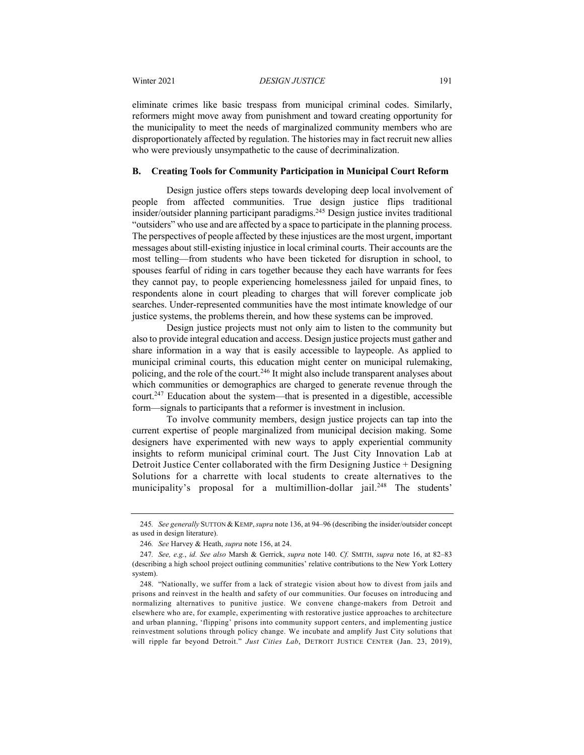eliminate crimes like basic trespass from municipal criminal codes. Similarly, reformers might move away from punishment and toward creating opportunity for the municipality to meet the needs of marginalized community members who are disproportionately affected by regulation. The histories may in fact recruit new allies who were previously unsympathetic to the cause of decriminalization.

#### **B. Creating Tools for Community Participation in Municipal Court Reform**

Design justice offers steps towards developing deep local involvement of people from affected communities. True design justice flips traditional insider/outsider planning participant paradigms.245 Design justice invites traditional "outsiders" who use and are affected by a space to participate in the planning process. The perspectives of people affected by these injustices are the most urgent, important messages about still-existing injustice in local criminal courts. Their accounts are the most telling—from students who have been ticketed for disruption in school, to spouses fearful of riding in cars together because they each have warrants for fees they cannot pay, to people experiencing homelessness jailed for unpaid fines, to respondents alone in court pleading to charges that will forever complicate job searches. Under-represented communities have the most intimate knowledge of our justice systems, the problems therein, and how these systems can be improved.

Design justice projects must not only aim to listen to the community but also to provide integral education and access. Design justice projects must gather and share information in a way that is easily accessible to laypeople. As applied to municipal criminal courts, this education might center on municipal rulemaking, policing, and the role of the court.<sup>246</sup> It might also include transparent analyses about which communities or demographics are charged to generate revenue through the court.<sup>247</sup> Education about the system—that is presented in a digestible, accessible form—signals to participants that a reformer is investment in inclusion.

To involve community members, design justice projects can tap into the current expertise of people marginalized from municipal decision making. Some designers have experimented with new ways to apply experiential community insights to reform municipal criminal court. The Just City Innovation Lab at Detroit Justice Center collaborated with the firm Designing Justice + Designing Solutions for a charrette with local students to create alternatives to the municipality's proposal for a multimillion-dollar jail.<sup>248</sup> The students'

<sup>245</sup>*. See generally* SUTTON & KEMP,*supra* note 136, at 94–96 (describing the insider/outsider concept as used in design literature).

<sup>246</sup>*. See* Harvey & Heath, *supra* note 156, at 24.

<sup>247</sup>*. See, e.g.*, *id. See also* Marsh & Gerrick, *supra* note 140. *Cf.* SMITH, *supra* note 16, at 82–83 (describing a high school project outlining communities' relative contributions to the New York Lottery system).

<sup>248.</sup> "Nationally, we suffer from a lack of strategic vision about how to divest from jails and prisons and reinvest in the health and safety of our communities. Our focuses on introducing and normalizing alternatives to punitive justice. We convene change-makers from Detroit and elsewhere who are, for example, experimenting with restorative justice approaches to architecture and urban planning, 'flipping' prisons into community support centers, and implementing justice reinvestment solutions through policy change. We incubate and amplify Just City solutions that will ripple far beyond Detroit." *Just Cities Lab*, DETROIT JUSTICE CENTER (Jan. 23, 2019),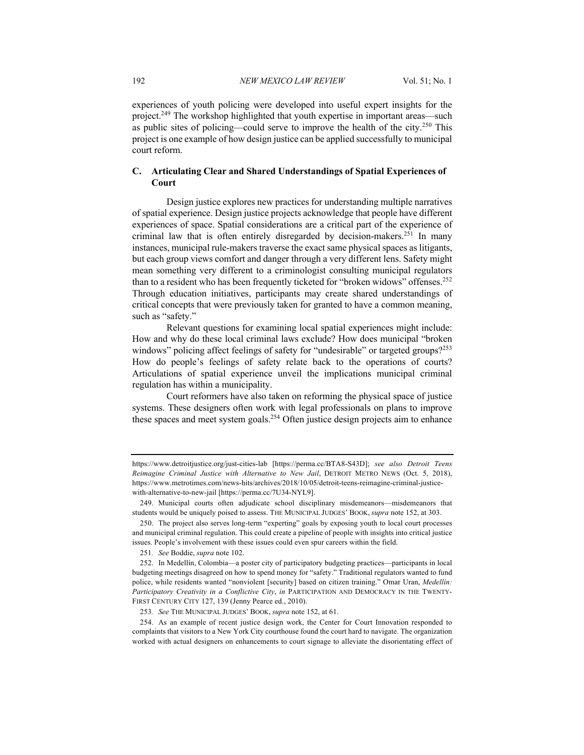experiences of youth policing were developed into useful expert insights for the project.<sup>249</sup> The workshop highlighted that youth expertise in important areas—such as public sites of policing—could serve to improve the health of the city.<sup>250</sup> This project is one example of how design justice can be applied successfully to municipal court reform.

#### **C. Articulating Clear and Shared Understandings of Spatial Experiences of Court**

Design justice explores new practices for understanding multiple narratives of spatial experience. Design justice projects acknowledge that people have different experiences of space. Spatial considerations are a critical part of the experience of criminal law that is often entirely disregarded by decision-makers.<sup>251</sup> In many instances, municipal rule-makers traverse the exact same physical spaces as litigants, but each group views comfort and danger through a very different lens. Safety might mean something very different to a criminologist consulting municipal regulators than to a resident who has been frequently ticketed for "broken widows" offenses.<sup>252</sup> Through education initiatives, participants may create shared understandings of critical concepts that were previously taken for granted to have a common meaning, such as "safety."

Relevant questions for examining local spatial experiences might include: How and why do these local criminal laws exclude? How does municipal "broken windows" policing affect feelings of safety for "undesirable" or targeted groups?<sup>253</sup> How do people's feelings of safety relate back to the operations of courts? Articulations of spatial experience unveil the implications municipal criminal regulation has within a municipality.

Court reformers have also taken on reforming the physical space of justice systems. These designers often work with legal professionals on plans to improve these spaces and meet system goals.<sup>254</sup> Often justice design projects aim to enhance

https://www.detroitjustice.org/just-cities-lab [https://perma.cc/BTA8-S43D]; *see also Detroit Teens Reimagine Criminal Justice with Alternative to New Jail*, DETROIT METRO NEWS (Oct. 5, 2018), https://www.metrotimes.com/news-hits/archives/2018/10/05/detroit-teens-reimagine-criminal-justicewith-alternative-to-new-jail [https://perma.cc/7U34-NYL9].

<sup>249.</sup> Municipal courts often adjudicate school disciplinary misdemeanors—misdemeanors that students would be uniquely poised to assess. THE MUNICIPAL JUDGES' BOOK, *supra* note 152, at 303.

<sup>250.</sup> The project also serves long-term "experting" goals by exposing youth to local court processes and municipal criminal regulation. This could create a pipeline of people with insights into critical justice issues. People's involvement with these issues could even spur careers within the field.

<sup>251</sup>*. See* Boddie, *supra* note 102.

<sup>252.</sup> In Medellín, Colombia—a poster city of participatory budgeting practices—participants in local budgeting meetings disagreed on how to spend money for "safety." Traditional regulators wanted to fund police, while residents wanted "nonviolent [security] based on citizen training." Omar Uran, *Medellín: Participatory Creativity in a Conflictive City*, *in* PARTICIPATION AND DEMOCRACY IN THE TWENTY-FIRST CENTURY CITY 127, 139 (Jenny Pearce ed., 2010).

<sup>253</sup>*. See* THE MUNICIPAL JUDGES' BOOK, *supra* note 152, at 61.

<sup>254.</sup> As an example of recent justice design work, the Center for Court Innovation responded to complaints that visitors to a New York City courthouse found the court hard to navigate. The organization worked with actual designers on enhancements to court signage to alleviate the disorientating effect of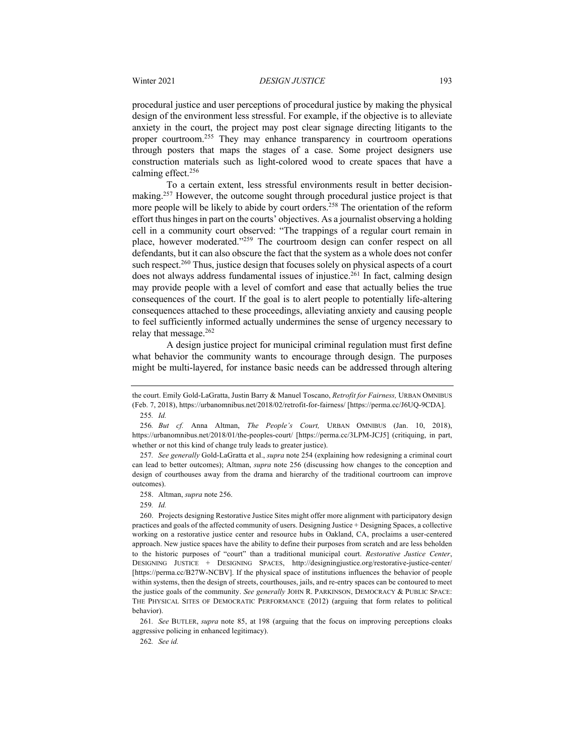procedural justice and user perceptions of procedural justice by making the physical design of the environment less stressful. For example, if the objective is to alleviate anxiety in the court, the project may post clear signage directing litigants to the proper courtroom.<sup>255</sup> They may enhance transparency in courtroom operations through posters that maps the stages of a case. Some project designers use construction materials such as light-colored wood to create spaces that have a calming effect.256

To a certain extent, less stressful environments result in better decisionmaking.<sup>257</sup> However, the outcome sought through procedural justice project is that more people will be likely to abide by court orders.<sup>258</sup> The orientation of the reform effort thus hinges in part on the courts' objectives. As a journalist observing a holding cell in a community court observed: "The trappings of a regular court remain in place, however moderated."<sup>259</sup> The courtroom design can confer respect on all defendants, but it can also obscure the fact that the system as a whole does not confer such respect.<sup>260</sup> Thus, justice design that focuses solely on physical aspects of a court does not always address fundamental issues of injustice.<sup>261</sup> In fact, calming design may provide people with a level of comfort and ease that actually belies the true consequences of the court. If the goal is to alert people to potentially life-altering consequences attached to these proceedings, alleviating anxiety and causing people to feel sufficiently informed actually undermines the sense of urgency necessary to relay that message.<sup>262</sup>

A design justice project for municipal criminal regulation must first define what behavior the community wants to encourage through design. The purposes might be multi-layered, for instance basic needs can be addressed through altering

262*. See id.*

the court. Emily Gold-LaGratta, Justin Barry & Manuel Toscano, *Retrofit for Fairness,* URBAN OMNIBUS (Feb. 7, 2018), https://urbanomnibus.net/2018/02/retrofit-for-fairness/ [https://perma.cc/J6UQ-9CDA].

<sup>255</sup>*. Id.*

<sup>256</sup>*. But cf.* Anna Altman, *The People's Court,* URBAN OMNIBUS (Jan. 10, 2018), https://urbanomnibus.net/2018/01/the-peoples-court/ [https://perma.cc/3LPM-JCJ5] (critiquing, in part, whether or not this kind of change truly leads to greater justice).

<sup>257</sup>*. See generally* Gold-LaGratta et al., *supra* note 254 (explaining how redesigning a criminal court can lead to better outcomes); Altman, *supra* note 256 (discussing how changes to the conception and design of courthouses away from the drama and hierarchy of the traditional courtroom can improve outcomes).

<sup>258.</sup> Altman, *supra* note 256.

<sup>259</sup>*. Id.*

<sup>260.</sup> Projects designing Restorative Justice Sites might offer more alignment with participatory design practices and goals of the affected community of users. Designing Justice + Designing Spaces, a collective working on a restorative justice center and resource hubs in Oakland, CA, proclaims a user-centered approach. New justice spaces have the ability to define their purposes from scratch and are less beholden to the historic purposes of "court" than a traditional municipal court. *Restorative Justice Center*, DESIGNING JUSTICE + DESIGNING SPACES, http://designingjustice.org/restorative-justice-center/ [https://perma.cc/B27W-NCBV]. If the physical space of institutions influences the behavior of people within systems, then the design of streets, courthouses, jails, and re-entry spaces can be contoured to meet the justice goals of the community. *See generally* JOHN R. PARKINSON, DEMOCRACY & PUBLIC SPACE: THE PHYSICAL SITES OF DEMOCRATIC PERFORMANCE (2012) (arguing that form relates to political behavior).

<sup>261</sup>*. See* BUTLER, *supra* note 85, at 198 (arguing that the focus on improving perceptions cloaks aggressive policing in enhanced legitimacy).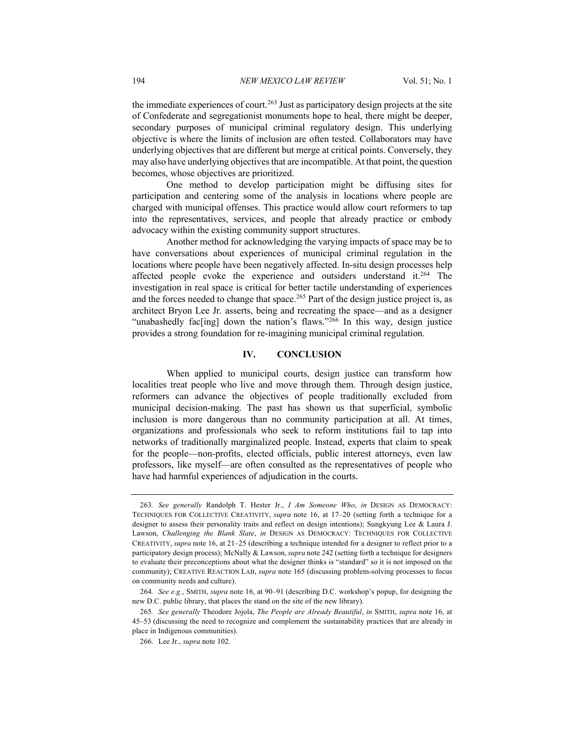the immediate experiences of court.<sup>263</sup> Just as participatory design projects at the site of Confederate and segregationist monuments hope to heal, there might be deeper, secondary purposes of municipal criminal regulatory design. This underlying objective is where the limits of inclusion are often tested. Collaborators may have underlying objectives that are different but merge at critical points. Conversely, they may also have underlying objectives that are incompatible. At that point, the question becomes, whose objectives are prioritized.

One method to develop participation might be diffusing sites for participation and centering some of the analysis in locations where people are charged with municipal offenses. This practice would allow court reformers to tap into the representatives, services, and people that already practice or embody advocacy within the existing community support structures.

Another method for acknowledging the varying impacts of space may be to have conversations about experiences of municipal criminal regulation in the locations where people have been negatively affected. In-situ design processes help affected people evoke the experience and outsiders understand it.<sup>264</sup> The investigation in real space is critical for better tactile understanding of experiences and the forces needed to change that space.<sup>265</sup> Part of the design justice project is, as architect Bryon Lee Jr. asserts, being and recreating the space—and as a designer "unabashedly fac[ing] down the nation's flaws."266 In this way, design justice provides a strong foundation for re-imagining municipal criminal regulation.

#### **IV. CONCLUSION**

When applied to municipal courts, design justice can transform how localities treat people who live and move through them. Through design justice, reformers can advance the objectives of people traditionally excluded from municipal decision-making. The past has shown us that superficial, symbolic inclusion is more dangerous than no community participation at all. At times, organizations and professionals who seek to reform institutions fail to tap into networks of traditionally marginalized people. Instead, experts that claim to speak for the people—non-profits, elected officials, public interest attorneys, even law professors, like myself—are often consulted as the representatives of people who have had harmful experiences of adjudication in the courts.

<sup>263</sup>*. See generally* Randolph T. Hester Jr., *I Am Someone Who*, *in* DESIGN AS DEMOCRACY: TECHNIQUES FOR COLLECTIVE CREATIVITY, *supra* note 16, at 17–20 (setting forth a technique for a designer to assess their personality traits and reflect on design intentions); Sungkyung Lee & Laura J. Lawson, *Challenging the Blank Slate*, *in* DESIGN AS DEMOCRACY: TECHNIQUES FOR COLLECTIVE CREATIVITY, *supra* note 16, at 21–25 (describing a technique intended for a designer to reflect prior to a participatory design process); McNally & Lawson,*supra* note 242 (setting forth a technique for designers to evaluate their preconceptions about what the designer thinks is "standard" so it is not imposed on the community); CREATIVE REACTION LAB, *supra* note 165 (discussing problem-solving processes to focus on community needs and culture).

<sup>264</sup>*. See e.g.*, SMITH, *supra* note 16, at 90–91 (describing D.C. workshop's popup, for designing the new D.C. public library, that places the stand on the site of the new library).

<sup>265</sup>*. See generally* Theodore Jojola, *The People are Already Beautiful*, *in* SMITH, *supra* note 16, at 45–53 (discussing the need to recognize and complement the sustainability practices that are already in place in Indigenous communities).

<sup>266.</sup> Lee Jr., *supra* note 102.